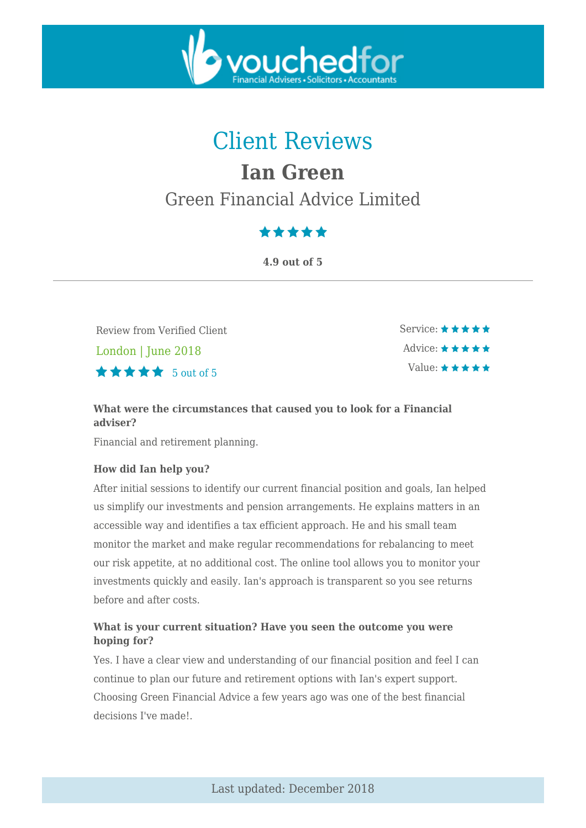

# Client Reviews

# **Ian Green**

## Green Financial Advice Limited

## \*\*\*\*\*

**4.9 out of 5**

Review from Verified Client London | June 2018  $\star \star \star \star$  5 out of 5

Service:  $\star \star \star \star \star$ Advice:  $\star \star \star \star \star$ Value:  $\star \star \star \star \star$ 

## **What were the circumstances that caused you to look for a Financial adviser?**

Financial and retirement planning.

## **How did Ian help you?**

After initial sessions to identify our current financial position and goals, Ian helped us simplify our investments and pension arrangements. He explains matters in an accessible way and identifies a tax efficient approach. He and his small team monitor the market and make regular recommendations for rebalancing to meet our risk appetite, at no additional cost. The online tool allows you to monitor your investments quickly and easily. Ian's approach is transparent so you see returns before and after costs.

## **What is your current situation? Have you seen the outcome you were hoping for?**

Yes. I have a clear view and understanding of our financial position and feel I can continue to plan our future and retirement options with Ian's expert support. Choosing Green Financial Advice a few years ago was one of the best financial decisions I've made!.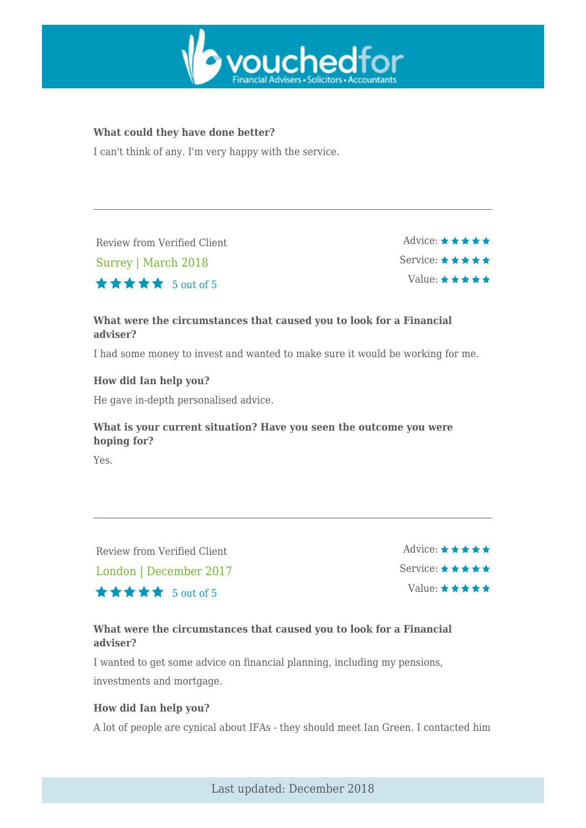

### **What could they have done better?**

I can't think of any. I'm very happy with the service.

Review from Verified Client

Surrey | March 2018

Advice:  $\star \star \star \star \star$ Service:  $\star \star \star \star \star$ Value:  $\star \star \star \star \star$ 

## **What were the circumstances that caused you to look for a Financial adviser?**

I had some money to invest and wanted to make sure it would be working for me.

### **How did Ian help you?**

He gave in-depth personalised advice.

5 out of 5

## **What is your current situation? Have you seen the outcome you were hoping for?**

Yes.

Review from Verified Client London | December 2017  $\star \star \star \star$  5 out of 5 Advice:  $\star \star \star \star \star$ Service:  $\star \star \star \star \star$ Value:  $\star \star \star \star \star$ 

## **What were the circumstances that caused you to look for a Financial adviser?**

I wanted to get some advice on financial planning, including my pensions, investments and mortgage.

#### **How did Ian help you?**

A lot of people are cynical about IFAs - they should meet Ian Green. I contacted him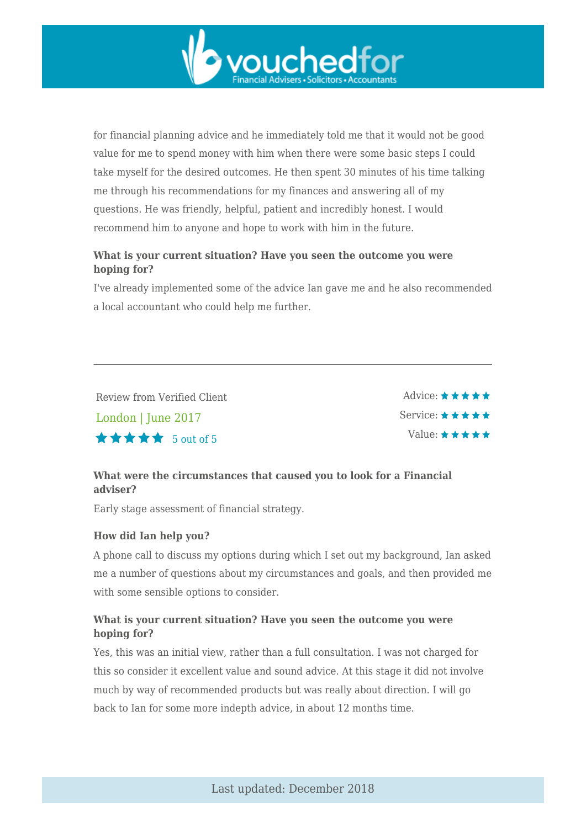

for financial planning advice and he immediately told me that it would not be good value for me to spend money with him when there were some basic steps I could take myself for the desired outcomes. He then spent 30 minutes of his time talking me through his recommendations for my finances and answering all of my questions. He was friendly, helpful, patient and incredibly honest. I would recommend him to anyone and hope to work with him in the future.

## **What is your current situation? Have you seen the outcome you were hoping for?**

I've already implemented some of the advice Ian gave me and he also recommended a local accountant who could help me further.

Review from Verified Client London | June 2017  $\star \star \star \star$  5 out of 5

Advice:  $\star \star \star \star \star$ Service: \* \* \* \* \* Value: \* \* \* \* \*

## **What were the circumstances that caused you to look for a Financial adviser?**

Early stage assessment of financial strategy.

## **How did Ian help you?**

A phone call to discuss my options during which I set out my background, Ian asked me a number of questions about my circumstances and goals, and then provided me with some sensible options to consider.

## **What is your current situation? Have you seen the outcome you were hoping for?**

Yes, this was an initial view, rather than a full consultation. I was not charged for this so consider it excellent value and sound advice. At this stage it did not involve much by way of recommended products but was really about direction. I will go back to Ian for some more indepth advice, in about 12 months time.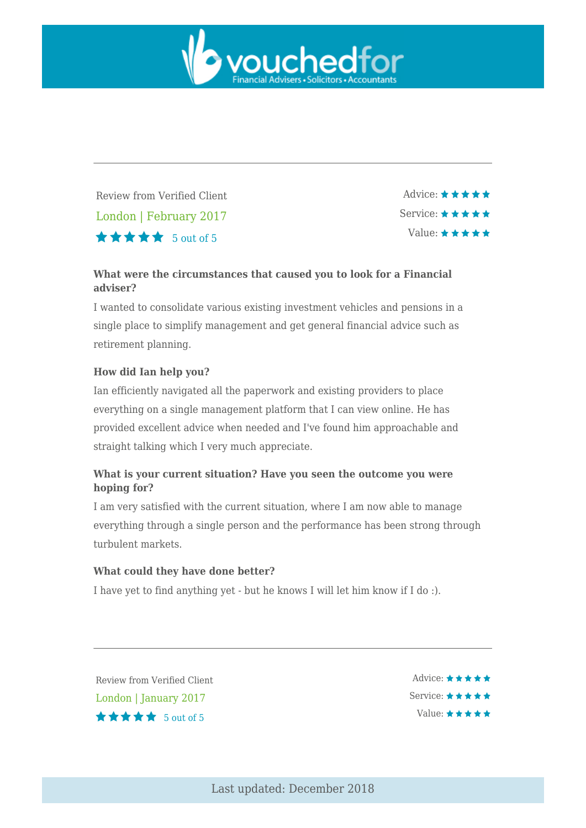

Review from Verified Client London | February 2017  $\star \star \star \star$  5 out of 5

Advice: \*\*\*\*\* Service:  $\star \star \star \star \star$ Value:  $\star \star \star \star \star$ 

## **What were the circumstances that caused you to look for a Financial adviser?**

I wanted to consolidate various existing investment vehicles and pensions in a single place to simplify management and get general financial advice such as retirement planning.

### **How did Ian help you?**

Ian efficiently navigated all the paperwork and existing providers to place everything on a single management platform that I can view online. He has provided excellent advice when needed and I've found him approachable and straight talking which I very much appreciate.

### **What is your current situation? Have you seen the outcome you were hoping for?**

I am very satisfied with the current situation, where I am now able to manage everything through a single person and the performance has been strong through turbulent markets.

#### **What could they have done better?**

I have yet to find anything yet - but he knows I will let him know if I do :).

Review from Verified Client London | January 2017 5 out of 5

Advice:  $\star \star \star \star \star$ Service:  $\star \star \star \star \star$ Value:  $\star \star \star \star \star$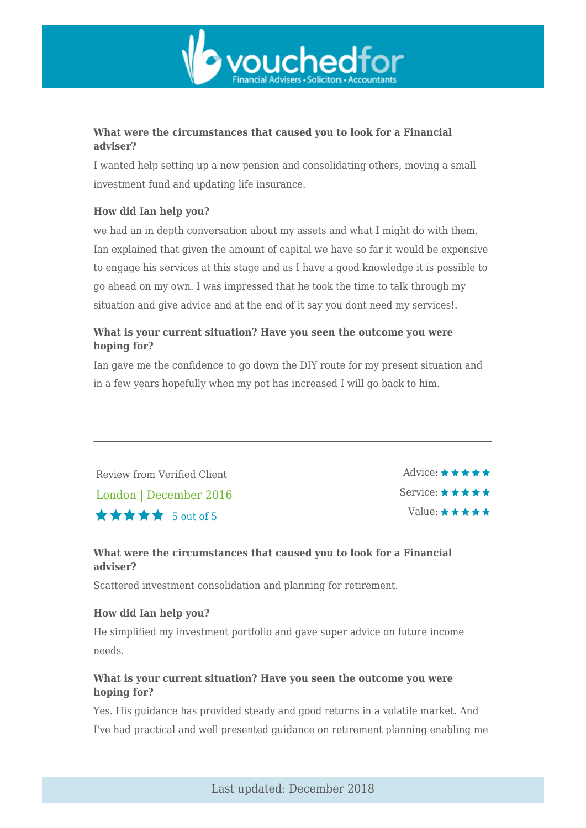

## **What were the circumstances that caused you to look for a Financial adviser?**

I wanted help setting up a new pension and consolidating others, moving a small investment fund and updating life insurance.

## **How did Ian help you?**

we had an in depth conversation about my assets and what I might do with them. Ian explained that given the amount of capital we have so far it would be expensive to engage his services at this stage and as I have a good knowledge it is possible to go ahead on my own. I was impressed that he took the time to talk through my situation and give advice and at the end of it say you dont need my services!.

## **What is your current situation? Have you seen the outcome you were hoping for?**

Ian gave me the confidence to go down the DIY route for my present situation and in a few years hopefully when my pot has increased I will go back to him.

Review from Verified Client London | December 2016  $\star \star \star \star$  5 out of 5

Advice:  $\star \star \star \star \star$ Service:  $\star \star \star \star \star$ Value:  $\star \star \star \star \star$ 

## **What were the circumstances that caused you to look for a Financial adviser?**

Scattered investment consolidation and planning for retirement.

#### **How did Ian help you?**

He simplified my investment portfolio and gave super advice on future income needs.

## **What is your current situation? Have you seen the outcome you were hoping for?**

Yes. His guidance has provided steady and good returns in a volatile market. And I've had practical and well presented guidance on retirement planning enabling me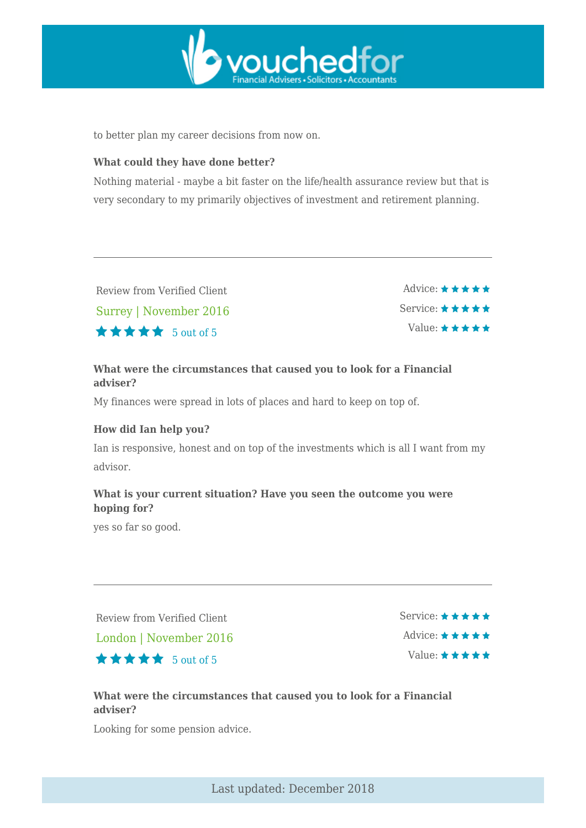

to better plan my career decisions from now on.

#### **What could they have done better?**

Nothing material - maybe a bit faster on the life/health assurance review but that is very secondary to my primarily objectives of investment and retirement planning.

| Review from Verified Client | $\Delta$ dvice: $\star \star \star \star \star$ |
|-----------------------------|-------------------------------------------------|
| Surrey   November 2016      | Service: $\star \star \star \star \star$        |
| <b>★★★★★</b> 5 out of 5     | Value: $\star \star \star \star \star$          |

## **What were the circumstances that caused you to look for a Financial adviser?**

My finances were spread in lots of places and hard to keep on top of.

#### **How did Ian help you?**

Ian is responsive, honest and on top of the investments which is all I want from my advisor.

## **What is your current situation? Have you seen the outcome you were hoping for?**

yes so far so good.

Review from Verified Client London | November 2016  $\star \star \star \star$  5 out of 5

Service: ★ ★ ★ ★ ★ Advice:  $\star \star \star \star \star$ Value:  $\star \star \star \star \star$ 

## **What were the circumstances that caused you to look for a Financial adviser?**

Looking for some pension advice.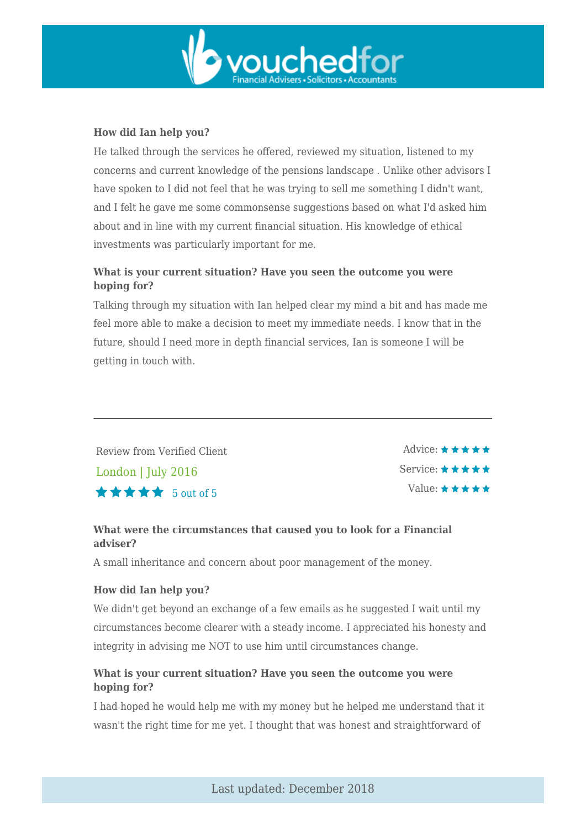

## **How did Ian help you?**

He talked through the services he offered, reviewed my situation, listened to my concerns and current knowledge of the pensions landscape . Unlike other advisors I have spoken to I did not feel that he was trying to sell me something I didn't want, and I felt he gave me some commonsense suggestions based on what I'd asked him about and in line with my current financial situation. His knowledge of ethical investments was particularly important for me.

## **What is your current situation? Have you seen the outcome you were hoping for?**

Talking through my situation with Ian helped clear my mind a bit and has made me feel more able to make a decision to meet my immediate needs. I know that in the future, should I need more in depth financial services, Ian is someone I will be getting in touch with.

Review from Verified Client London | July 2016  $\star \star \star \star$  5 out of 5

Advice:  $\star \star \star \star \star$ Service:  $\star \star \star \star \star$ Value:  $\star \star \star \star \star$ 

## **What were the circumstances that caused you to look for a Financial adviser?**

A small inheritance and concern about poor management of the money.

#### **How did Ian help you?**

We didn't get beyond an exchange of a few emails as he suggested I wait until my circumstances become clearer with a steady income. I appreciated his honesty and integrity in advising me NOT to use him until circumstances change.

## **What is your current situation? Have you seen the outcome you were hoping for?**

I had hoped he would help me with my money but he helped me understand that it wasn't the right time for me yet. I thought that was honest and straightforward of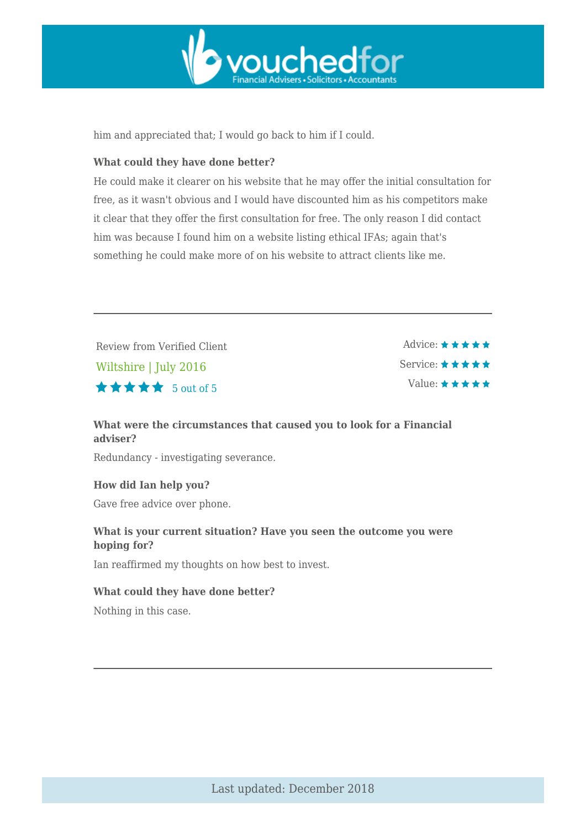

him and appreciated that; I would go back to him if I could.

#### **What could they have done better?**

He could make it clearer on his website that he may offer the initial consultation for free, as it wasn't obvious and I would have discounted him as his competitors make it clear that they offer the first consultation for free. The only reason I did contact him was because I found him on a website listing ethical IFAs; again that's something he could make more of on his website to attract clients like me.

Review from Verified Client Wiltshire | July 2016  $\star \star \star \star$  5 out of 5

Advice: \*\*\*\*\* Service:  $\star \star \star \star \star$ Value:  $\star \star \star \star \star$ 

### **What were the circumstances that caused you to look for a Financial adviser?**

Redundancy - investigating severance.

**How did Ian help you?**

Gave free advice over phone.

### **What is your current situation? Have you seen the outcome you were hoping for?**

Ian reaffirmed my thoughts on how best to invest.

#### **What could they have done better?**

Nothing in this case.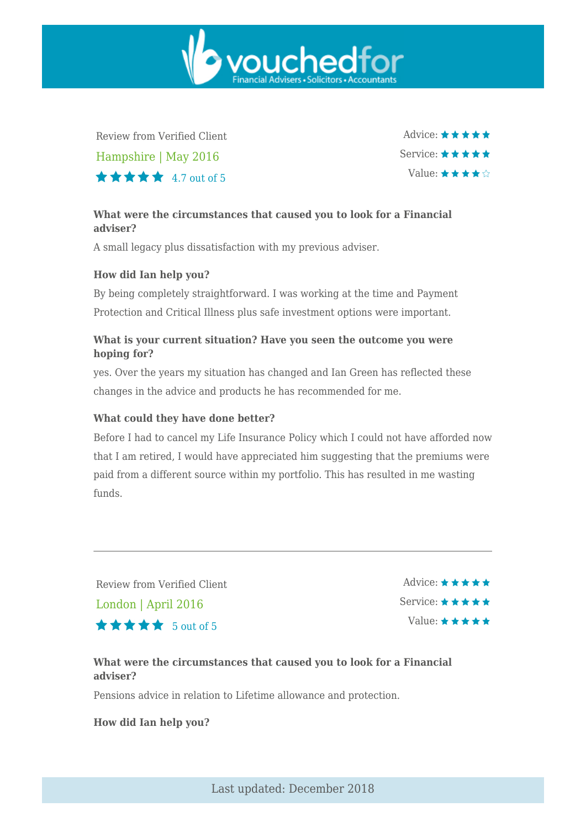Review from Verified Client Hampshire | May 2016  $\star \star \star \star$  4.7 out of 5

Advice:  $\star \star \star \star \star$ Service:  $\star \star \star \star \star$ Value:  $\star \star \star \star \diamond$ 

## **What were the circumstances that caused you to look for a Financial adviser?**

vouchedfor

A small legacy plus dissatisfaction with my previous adviser.

### **How did Ian help you?**

By being completely straightforward. I was working at the time and Payment Protection and Critical Illness plus safe investment options were important.

### **What is your current situation? Have you seen the outcome you were hoping for?**

yes. Over the years my situation has changed and Ian Green has reflected these changes in the advice and products he has recommended for me.

#### **What could they have done better?**

Before I had to cancel my Life Insurance Policy which I could not have afforded now that I am retired, I would have appreciated him suggesting that the premiums were paid from a different source within my portfolio. This has resulted in me wasting funds.

Review from Verified Client

London | April 2016

 $\star \star \star \star$  5 out of 5

Advice:  $\star \star \star \star \star$ Service:  $\star \star \star \star \star$ Value:  $\star \star \star \star \star$ 

## **What were the circumstances that caused you to look for a Financial adviser?**

Pensions advice in relation to Lifetime allowance and protection.

**How did Ian help you?**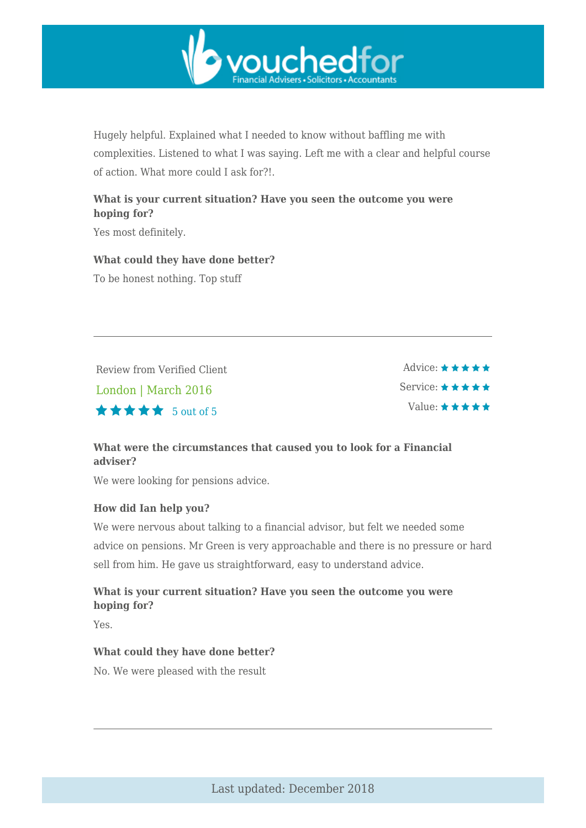

Hugely helpful. Explained what I needed to know without baffling me with complexities. Listened to what I was saying. Left me with a clear and helpful course of action. What more could I ask for?!.

## **What is your current situation? Have you seen the outcome you were hoping for?**

Yes most definitely.

**What could they have done better?**

To be honest nothing. Top stuff

Review from Verified Client London | March 2016  $\star \star \star \star$  5 out of 5

Advice:  $\star \star \star \star \star$ Service:  $\star \star \star \star \star$ Value:  $\star \star \star \star \star$ 

## **What were the circumstances that caused you to look for a Financial adviser?**

We were looking for pensions advice.

## **How did Ian help you?**

We were nervous about talking to a financial advisor, but felt we needed some advice on pensions. Mr Green is very approachable and there is no pressure or hard sell from him. He gave us straightforward, easy to understand advice.

## **What is your current situation? Have you seen the outcome you were hoping for?**

Yes.

#### **What could they have done better?**

No. We were pleased with the result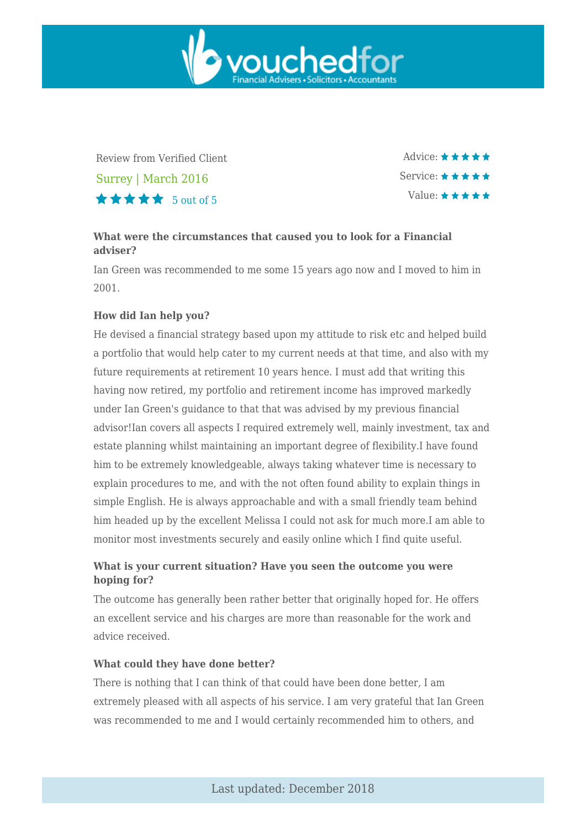

Review from Verified Client Surrey | March 2016  $\star \star \star \star$  5 out of 5

Advice: \*\*\*\*\* Service: ★ ★ ★ ★ ★ Value:  $\star \star \star \star \star$ 

## **What were the circumstances that caused you to look for a Financial adviser?**

Ian Green was recommended to me some 15 years ago now and I moved to him in 2001.

### **How did Ian help you?**

He devised a financial strategy based upon my attitude to risk etc and helped build a portfolio that would help cater to my current needs at that time, and also with my future requirements at retirement 10 years hence. I must add that writing this having now retired, my portfolio and retirement income has improved markedly under Ian Green's guidance to that that was advised by my previous financial advisor!Ian covers all aspects I required extremely well, mainly investment, tax and estate planning whilst maintaining an important degree of flexibility.I have found him to be extremely knowledgeable, always taking whatever time is necessary to explain procedures to me, and with the not often found ability to explain things in simple English. He is always approachable and with a small friendly team behind him headed up by the excellent Melissa I could not ask for much more.I am able to monitor most investments securely and easily online which I find quite useful.

## **What is your current situation? Have you seen the outcome you were hoping for?**

The outcome has generally been rather better that originally hoped for. He offers an excellent service and his charges are more than reasonable for the work and advice received.

#### **What could they have done better?**

There is nothing that I can think of that could have been done better, I am extremely pleased with all aspects of his service. I am very grateful that Ian Green was recommended to me and I would certainly recommended him to others, and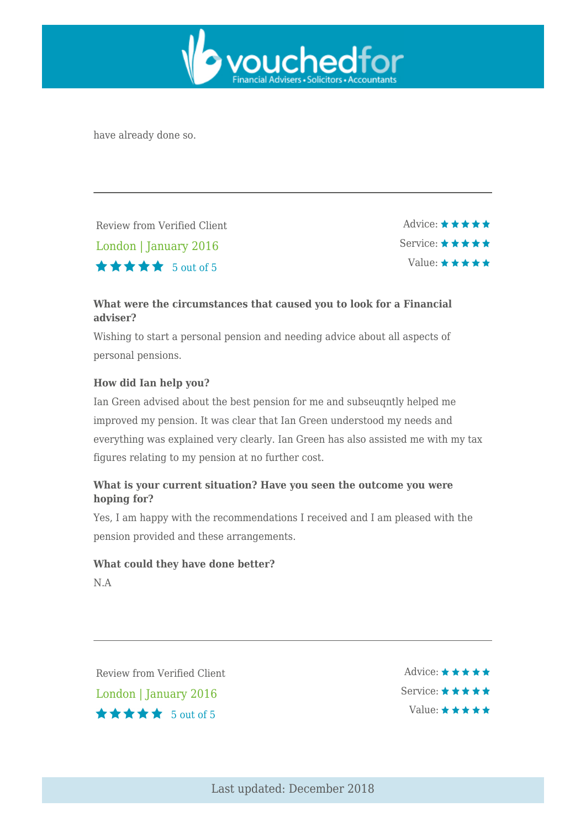

have already done so.

Review from Verified Client London | January 2016  $\star \star \star \star$  5 out of 5

Advice:  $\star \star \star \star \star$ Service: ★ ★ ★ ★ ★ Value:  $\star \star \star \star \star$ 

## **What were the circumstances that caused you to look for a Financial adviser?**

Wishing to start a personal pension and needing advice about all aspects of personal pensions.

## **How did Ian help you?**

Ian Green advised about the best pension for me and subseuqntly helped me improved my pension. It was clear that Ian Green understood my needs and everything was explained very clearly. Ian Green has also assisted me with my tax figures relating to my pension at no further cost.

## **What is your current situation? Have you seen the outcome you were hoping for?**

Yes, I am happy with the recommendations I received and I am pleased with the pension provided and these arrangements.

#### **What could they have done better?**

N.A

Review from Verified Client London | January 2016  $\star \star \star \star$  5 out of 5

Advice:  $\star \star \star \star \star$ Service:  $\star \star \star \star \star$ Value:  $\star \star \star \star \star$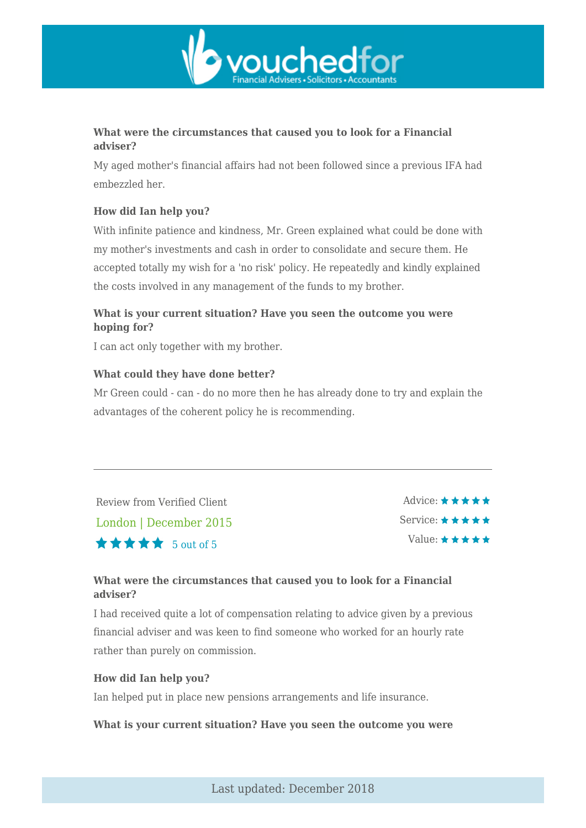

## **What were the circumstances that caused you to look for a Financial adviser?**

My aged mother's financial affairs had not been followed since a previous IFA had embezzled her.

## **How did Ian help you?**

With infinite patience and kindness, Mr. Green explained what could be done with my mother's investments and cash in order to consolidate and secure them. He accepted totally my wish for a 'no risk' policy. He repeatedly and kindly explained the costs involved in any management of the funds to my brother.

## **What is your current situation? Have you seen the outcome you were hoping for?**

I can act only together with my brother.

#### **What could they have done better?**

Mr Green could - can - do no more then he has already done to try and explain the advantages of the coherent policy he is recommending.

Review from Verified Client London | December 2015  $\star \star \star \star$  5 out of 5

Advice: ★ ★ ★ ★ ★ Service: \* \* \* \* \* Value:  $\star \star \star \star \star$ 

## **What were the circumstances that caused you to look for a Financial adviser?**

I had received quite a lot of compensation relating to advice given by a previous financial adviser and was keen to find someone who worked for an hourly rate rather than purely on commission.

#### **How did Ian help you?**

Ian helped put in place new pensions arrangements and life insurance.

#### **What is your current situation? Have you seen the outcome you were**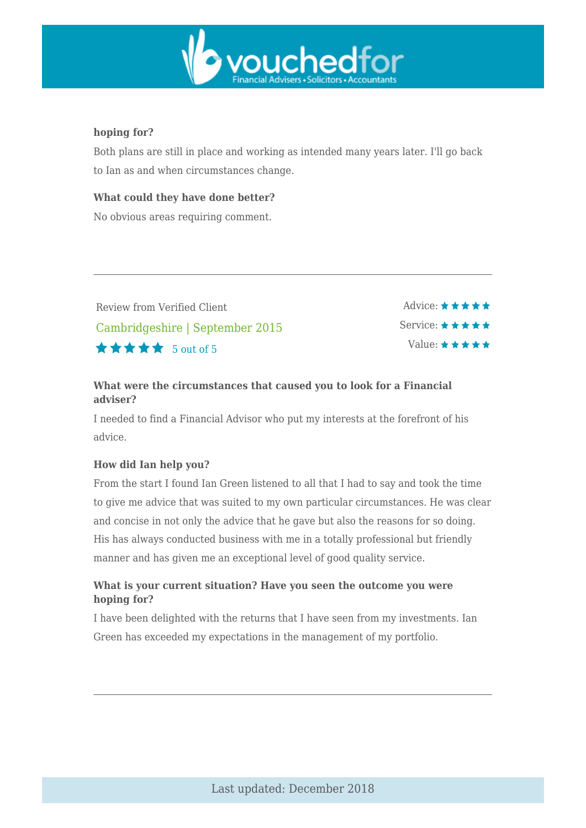

### **hoping for?**

Both plans are still in place and working as intended many years later. I'll go back to Ian as and when circumstances change.

### **What could they have done better?**

No obvious areas requiring comment.

Review from Verified Client Cambridgeshire | September 2015  $\star \star \star \star$  5 out of 5

Advice:  $\star \star \star \star \star$ Service: ★ ★ ★ ★ ★ Value:  $\star \star \star \star \star$ 

## **What were the circumstances that caused you to look for a Financial adviser?**

I needed to find a Financial Advisor who put my interests at the forefront of his advice.

#### **How did Ian help you?**

From the start I found Ian Green listened to all that I had to say and took the time to give me advice that was suited to my own particular circumstances. He was clear and concise in not only the advice that he gave but also the reasons for so doing. His has always conducted business with me in a totally professional but friendly manner and has given me an exceptional level of good quality service.

## **What is your current situation? Have you seen the outcome you were hoping for?**

I have been delighted with the returns that I have seen from my investments. Ian Green has exceeded my expectations in the management of my portfolio.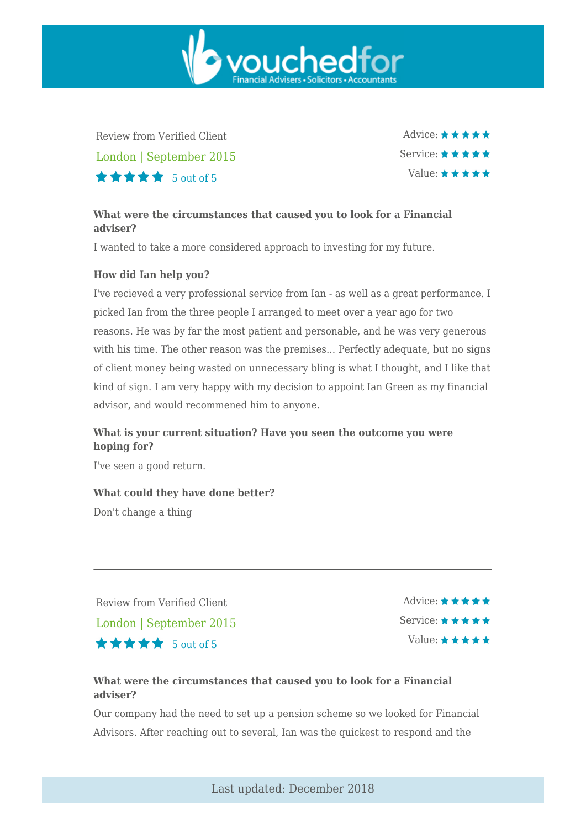Review from Verified Client London | September 2015  $\star \star \star \star$  5 out of 5

Advice:  $\star \star \star \star \star$ Service:  $\star \star \star \star \star$ Value:  $\star \star \star \star \star$ 

## **What were the circumstances that caused you to look for a Financial adviser?**

vouchedfor

I wanted to take a more considered approach to investing for my future.

#### **How did Ian help you?**

I've recieved a very professional service from Ian - as well as a great performance. I picked Ian from the three people I arranged to meet over a year ago for two reasons. He was by far the most patient and personable, and he was very generous with his time. The other reason was the premises... Perfectly adequate, but no signs of client money being wasted on unnecessary bling is what I thought, and I like that kind of sign. I am very happy with my decision to appoint Ian Green as my financial advisor, and would recommened him to anyone.

## **What is your current situation? Have you seen the outcome you were hoping for?**

I've seen a good return.

#### **What could they have done better?**

Don't change a thing

Review from Verified Client London | September 2015  $\star \star \star \star$  5 out of 5

Advice:  $\star \star \star \star \star$ Service:  $\star \star \star \star \star$ Value:  $\star \star \star \star \star$ 

## **What were the circumstances that caused you to look for a Financial adviser?**

Our company had the need to set up a pension scheme so we looked for Financial Advisors. After reaching out to several, Ian was the quickest to respond and the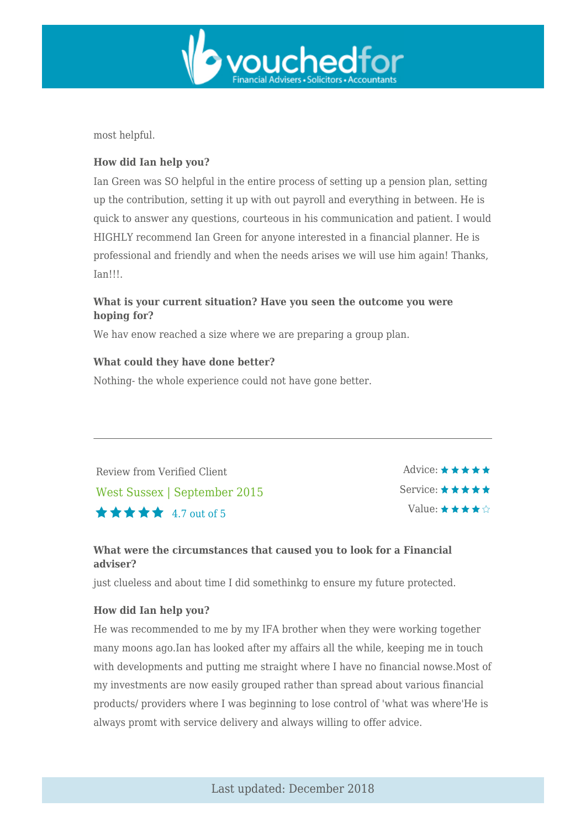

most helpful.

### **How did Ian help you?**

Ian Green was SO helpful in the entire process of setting up a pension plan, setting up the contribution, setting it up with out payroll and everything in between. He is quick to answer any questions, courteous in his communication and patient. I would HIGHLY recommend Ian Green for anyone interested in a financial planner. He is professional and friendly and when the needs arises we will use him again! Thanks, Ian!!!.

## **What is your current situation? Have you seen the outcome you were hoping for?**

We hav enow reached a size where we are preparing a group plan.

#### **What could they have done better?**

Nothing- the whole experience could not have gone better.

Review from Verified Client West Sussex | September 2015  $\star \star \star \star$  4.7 out of 5

Advice:  $\star \star \star \star \star$ Service:  $\star \star \star \star \star$ Value:  $\star \star \star \star \diamond$ 

## **What were the circumstances that caused you to look for a Financial adviser?**

just clueless and about time I did somethinkg to ensure my future protected.

#### **How did Ian help you?**

He was recommended to me by my IFA brother when they were working together many moons ago.Ian has looked after my affairs all the while, keeping me in touch with developments and putting me straight where I have no financial nowse.Most of my investments are now easily grouped rather than spread about various financial products/ providers where I was beginning to lose control of 'what was where'He is always promt with service delivery and always willing to offer advice.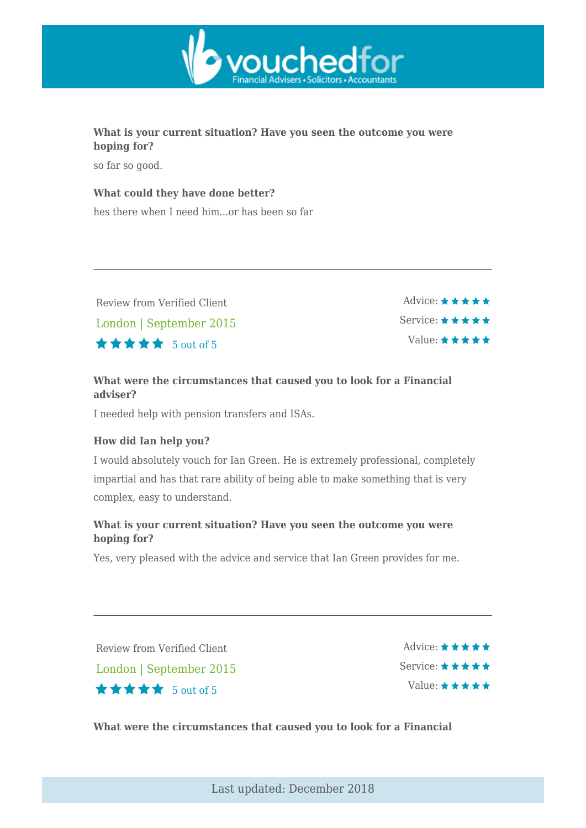

## **What is your current situation? Have you seen the outcome you were hoping for?**

so far so good.

### **What could they have done better?**

hes there when I need him...or has been so far

Review from Verified Client London | September 2015  $\star \star \star \star$  5 out of 5

Advice:  $\star \star \star \star \star$ Service:  $\star \star \star \star \star$ Value:  $\star \star \star \star \star$ 

## **What were the circumstances that caused you to look for a Financial adviser?**

I needed help with pension transfers and ISAs.

## **How did Ian help you?**

I would absolutely vouch for Ian Green. He is extremely professional, completely impartial and has that rare ability of being able to make something that is very complex, easy to understand.

## **What is your current situation? Have you seen the outcome you were hoping for?**

Yes, very pleased with the advice and service that Ian Green provides for me.

Review from Verified Client London | September 2015  $\star \star \star \star$  5 out of 5

Advice:  $\star \star \star \star \star$ Service: \* \* \* \* \* Value:  $\star \star \star \star \star$ 

**What were the circumstances that caused you to look for a Financial**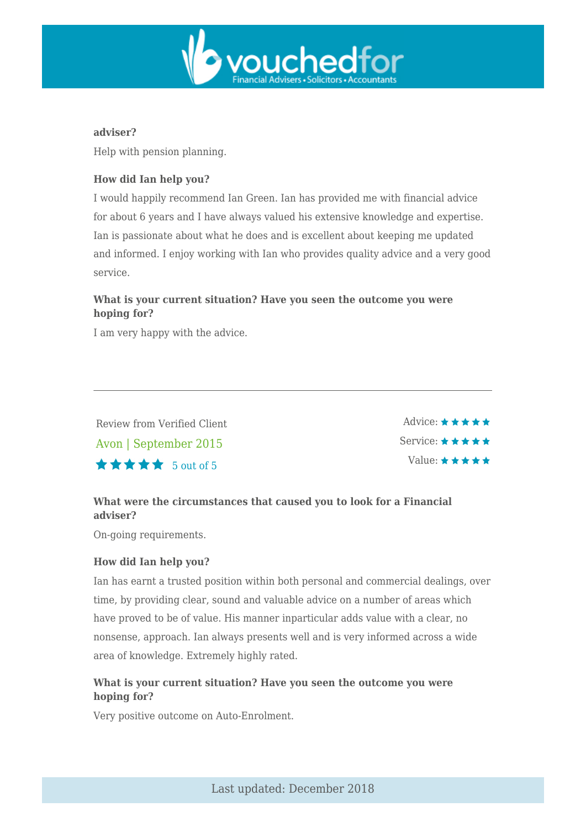

#### **adviser?**

Help with pension planning.

## **How did Ian help you?**

I would happily recommend Ian Green. Ian has provided me with financial advice for about 6 years and I have always valued his extensive knowledge and expertise. Ian is passionate about what he does and is excellent about keeping me updated and informed. I enjoy working with Ian who provides quality advice and a very good service.

## **What is your current situation? Have you seen the outcome you were hoping for?**

I am very happy with the advice.

Review from Verified Client Avon | September 2015  $\star \star \star \star$  5 out of 5

Advice:  $\star \star \star \star \star$ Service: \*\*\*\*\* Value:  $\star \star \star \star \star$ 

## **What were the circumstances that caused you to look for a Financial adviser?**

On-going requirements.

## **How did Ian help you?**

Ian has earnt a trusted position within both personal and commercial dealings, over time, by providing clear, sound and valuable advice on a number of areas which have proved to be of value. His manner inparticular adds value with a clear, no nonsense, approach. Ian always presents well and is very informed across a wide area of knowledge. Extremely highly rated.

## **What is your current situation? Have you seen the outcome you were hoping for?**

Very positive outcome on Auto-Enrolment.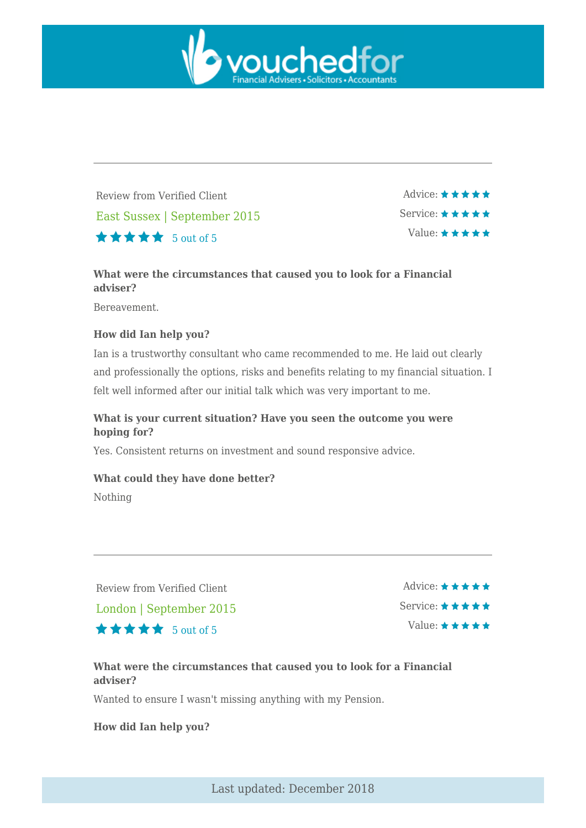

Review from Verified Client East Sussex | September 2015  $\star \star \star \star$  5 out of 5

Advice:  $\star \star \star \star \star$ Service:  $\star \star \star \star \star$ Value: \*\*\*\*\*

## **What were the circumstances that caused you to look for a Financial adviser?**

Bereavement.

## **How did Ian help you?**

Ian is a trustworthy consultant who came recommended to me. He laid out clearly and professionally the options, risks and benefits relating to my financial situation. I felt well informed after our initial talk which was very important to me.

## **What is your current situation? Have you seen the outcome you were hoping for?**

Yes. Consistent returns on investment and sound responsive advice.

#### **What could they have done better?**

Nothing

Review from Verified Client

London | September 2015

 $\star \star \star \star$  5 out of 5

Advice: ★ ★ ★ ★ ★ Service: \*\*\*\*\* Value: \* \* \* \* \*

## **What were the circumstances that caused you to look for a Financial adviser?**

Wanted to ensure I wasn't missing anything with my Pension.

**How did Ian help you?**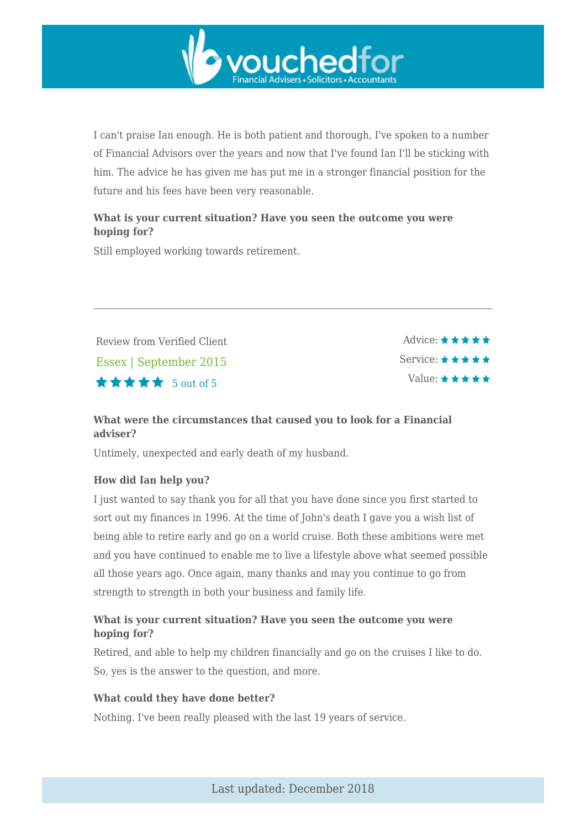

I can't praise Ian enough. He is both patient and thorough, I've spoken to a number of Financial Advisors over the years and now that I've found Ian I'll be sticking with him. The advice he has given me has put me in a stronger financial position for the future and his fees have been very reasonable.

## **What is your current situation? Have you seen the outcome you were hoping for?**

Still employed working towards retirement.

Review from Verified Client Essex | September 2015  $\star \star \star \star$  5 out of 5

Advice:  $\star \star \star \star \star$ Service: \* \* \* \* \* Value:  $\star \star \star \star \star$ 

## **What were the circumstances that caused you to look for a Financial adviser?**

Untimely, unexpected and early death of my husband.

## **How did Ian help you?**

I just wanted to say thank you for all that you have done since you first started to sort out my finances in 1996. At the time of John's death I gave you a wish list of being able to retire early and go on a world cruise. Both these ambitions were met and you have continued to enable me to live a lifestyle above what seemed possible all those years ago. Once again, many thanks and may you continue to go from strength to strength in both your business and family life.

## **What is your current situation? Have you seen the outcome you were hoping for?**

Retired, and able to help my children financially and go on the cruises I like to do. So, yes is the answer to the question, and more.

#### **What could they have done better?**

Nothing. I've been really pleased with the last 19 years of service.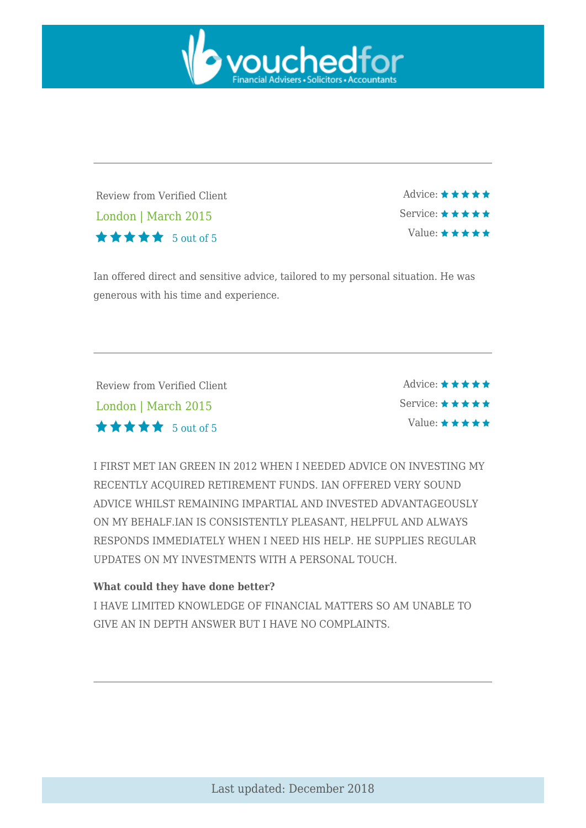

Review from Verified Client London | March 2015 5 out of 5

Advice: \*\*\*\*\* Service:  $\star \star \star \star \star$ Value:  $\star \star \star \star \star$ 

Ian offered direct and sensitive advice, tailored to my personal situation. He was generous with his time and experience.

| Review from Verified Client | Advice: $\star \star \star \star \star$  |
|-----------------------------|------------------------------------------|
| London   March 2015         | Service: $\star \star \star \star \star$ |
| <b>★★★★★</b> 5 out of 5     | Value: $\star \star \star \star \star$   |

I FIRST MET IAN GREEN IN 2012 WHEN I NEEDED ADVICE ON INVESTING MY RECENTLY ACQUIRED RETIREMENT FUNDS. IAN OFFERED VERY SOUND ADVICE WHILST REMAINING IMPARTIAL AND INVESTED ADVANTAGEOUSLY ON MY BEHALF.IAN IS CONSISTENTLY PLEASANT, HELPFUL AND ALWAYS RESPONDS IMMEDIATELY WHEN I NEED HIS HELP. HE SUPPLIES REGULAR UPDATES ON MY INVESTMENTS WITH A PERSONAL TOUCH.

#### **What could they have done better?**

I HAVE LIMITED KNOWLEDGE OF FINANCIAL MATTERS SO AM UNABLE TO GIVE AN IN DEPTH ANSWER BUT I HAVE NO COMPLAINTS.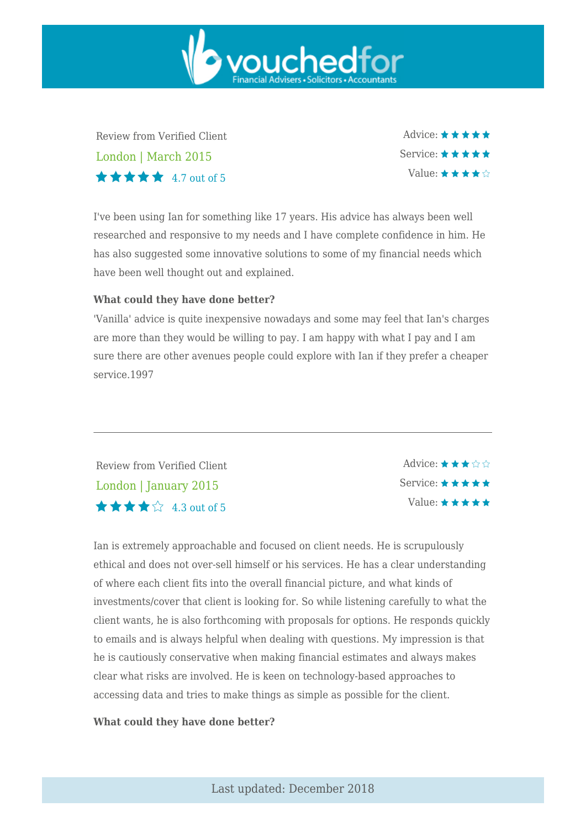Review from Verified Client London | March 2015  $\star \star \star \star$  4.7 out of 5

Advice: ★ ★ ★ ★ ★ Service:  $\star \star \star \star \star$ Value:  $\star \star \star \star \hat{\varphi}$ 

I've been using Ian for something like 17 years. His advice has always been well researched and responsive to my needs and I have complete confidence in him. He has also suggested some innovative solutions to some of my financial needs which have been well thought out and explained.

vouchedfor

#### **What could they have done better?**

'Vanilla' advice is quite inexpensive nowadays and some may feel that Ian's charges are more than they would be willing to pay. I am happy with what I pay and I am sure there are other avenues people could explore with Ian if they prefer a cheaper service.1997

Review from Verified Client London | January 2015  $\star \star \star \mathcal{L}$  4.3 out of 5

Advice:  $\star \star \star \diamond \diamond$ Service:  $\star \star \star \star \star$ Value:  $\star \star \star \star \star$ 

Ian is extremely approachable and focused on client needs. He is scrupulously ethical and does not over-sell himself or his services. He has a clear understanding of where each client fits into the overall financial picture, and what kinds of investments/cover that client is looking for. So while listening carefully to what the client wants, he is also forthcoming with proposals for options. He responds quickly to emails and is always helpful when dealing with questions. My impression is that he is cautiously conservative when making financial estimates and always makes clear what risks are involved. He is keen on technology-based approaches to accessing data and tries to make things as simple as possible for the client.

#### **What could they have done better?**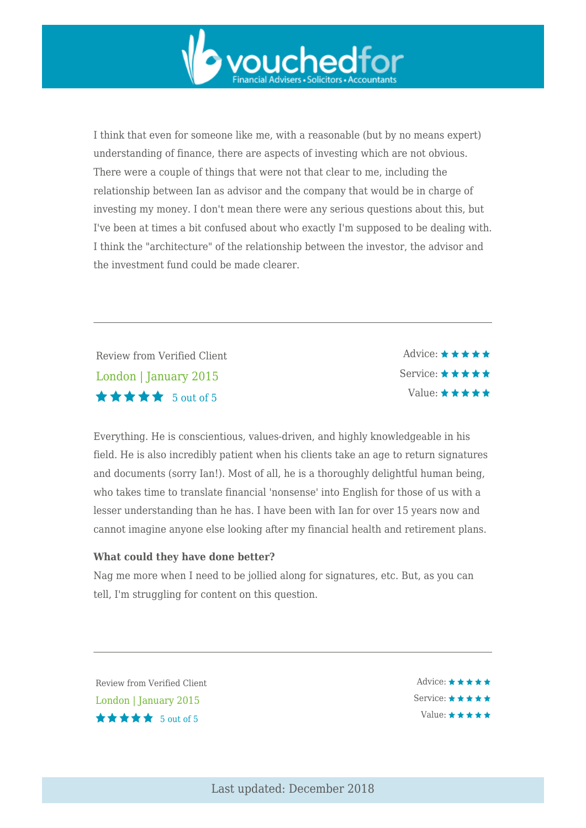

I think that even for someone like me, with a reasonable (but by no means expert) understanding of finance, there are aspects of investing which are not obvious. There were a couple of things that were not that clear to me, including the relationship between Ian as advisor and the company that would be in charge of investing my money. I don't mean there were any serious questions about this, but I've been at times a bit confused about who exactly I'm supposed to be dealing with. I think the "architecture" of the relationship between the investor, the advisor and the investment fund could be made clearer.

Review from Verified Client London | January 2015 5 out of 5

 $\triangle$ dvice:  $\star \star \star \star \star$ Service: \* \* \* \* \* Value:  $\star \star \star \star \star$ 

Everything. He is conscientious, values-driven, and highly knowledgeable in his field. He is also incredibly patient when his clients take an age to return signatures and documents (sorry Ian!). Most of all, he is a thoroughly delightful human being, who takes time to translate financial 'nonsense' into English for those of us with a lesser understanding than he has. I have been with Ian for over 15 years now and cannot imagine anyone else looking after my financial health and retirement plans.

#### **What could they have done better?**

Nag me more when I need to be jollied along for signatures, etc. But, as you can tell, I'm struggling for content on this question.

Review from Verified Client London | January 2015  $\star \star \star \star$  5 out of 5

Advice: \*\*\*\*\* Service: ★ ★ ★ ★ ★ Value:  $\star \star \star \star \star$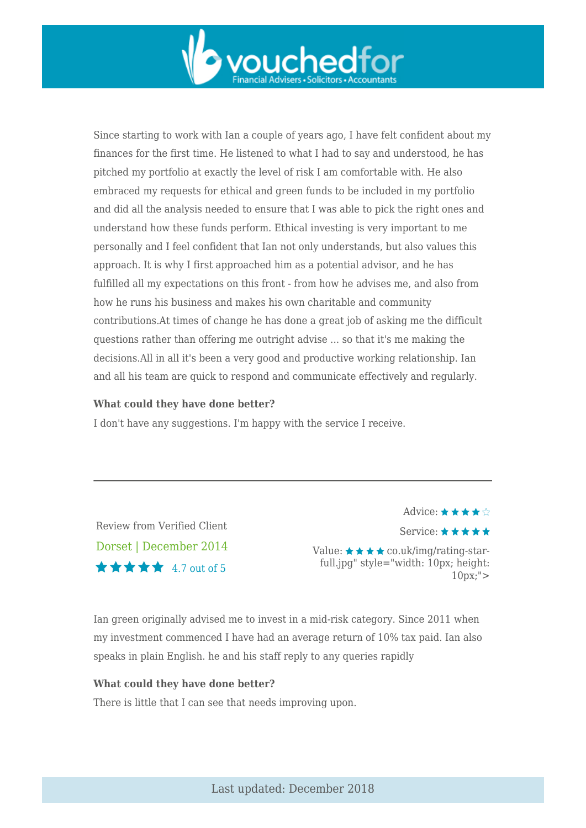

Since starting to work with Ian a couple of years ago, I have felt confident about my finances for the first time. He listened to what I had to say and understood, he has pitched my portfolio at exactly the level of risk I am comfortable with. He also embraced my requests for ethical and green funds to be included in my portfolio and did all the analysis needed to ensure that I was able to pick the right ones and understand how these funds perform. Ethical investing is very important to me personally and I feel confident that Ian not only understands, but also values this approach. It is why I first approached him as a potential advisor, and he has fulfilled all my expectations on this front - from how he advises me, and also from how he runs his business and makes his own charitable and community contributions.At times of change he has done a great job of asking me the difficult questions rather than offering me outright advise ... so that it's me making the decisions.All in all it's been a very good and productive working relationship. Ian and all his team are quick to respond and communicate effectively and regularly.

#### **What could they have done better?**

I don't have any suggestions. I'm happy with the service I receive.

Review from Verified Client Dorset | December 2014  $\star \star \star \star$  4.7 out of 5

Advice:  $\star \star \star \star \diamondsuit$ Service:  $\star \star \star \star \star$ Value:  $\star \star \star \star$  co.uk/img/rating-starfull.jpg" style="width: 10px; height:  $10px;$ ">

Ian green originally advised me to invest in a mid-risk category. Since 2011 when my investment commenced I have had an average return of 10% tax paid. Ian also speaks in plain English. he and his staff reply to any queries rapidly

#### **What could they have done better?**

There is little that I can see that needs improving upon.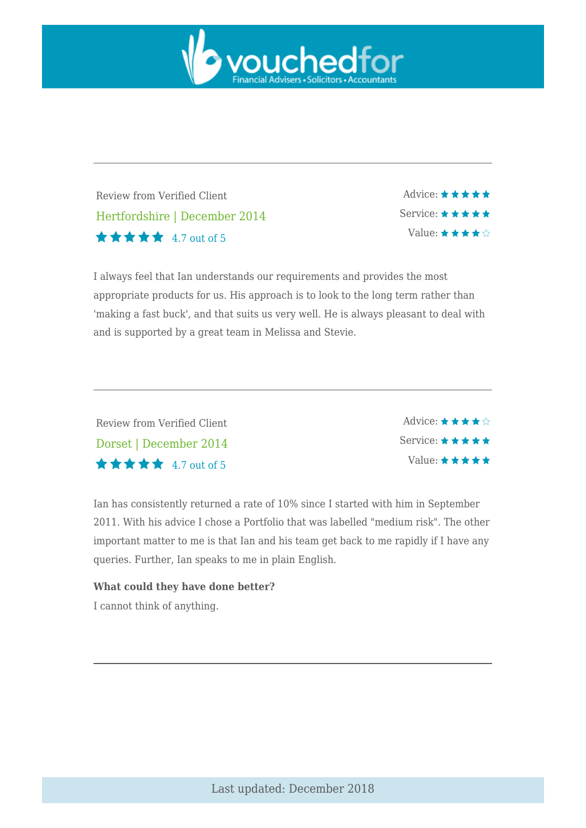

Review from Verified Client Hertfordshire | December 2014 4.7 out of 5

Advice:  $\star \star \star \star \star$ Service: \* \* \* \* \* Value:  $\star \star \star \star \diamond$ 

I always feel that Ian understands our requirements and provides the most appropriate products for us. His approach is to look to the long term rather than 'making a fast buck', and that suits us very well. He is always pleasant to deal with and is supported by a great team in Melissa and Stevie.

Review from Verified Client Dorset | December 2014  $\star \star \star \star$  4.7 out of 5

Advice:  $\star \star \star \star \hat{\mathbb{R}}$ Service: ★ ★ ★ ★ ★ Value:  $\star \star \star \star \star$ 

Ian has consistently returned a rate of 10% since I started with him in September 2011. With his advice I chose a Portfolio that was labelled "medium risk". The other important matter to me is that Ian and his team get back to me rapidly if I have any queries. Further, Ian speaks to me in plain English.

## **What could they have done better?**

I cannot think of anything.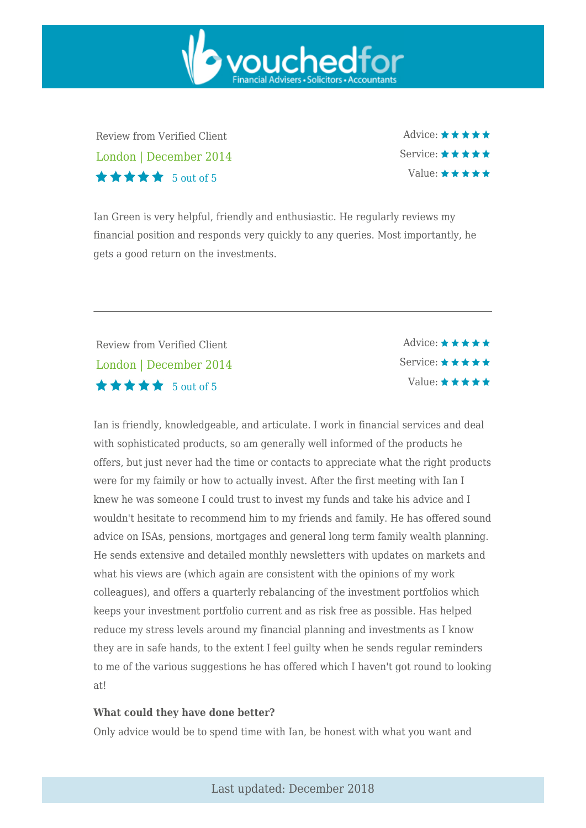Review from Verified Client London | December 2014  $\star \star \star \star$  5 out of 5

Advice: ★★★★★ Service:  $\star \star \star \star \star$ Value:  $\star \star \star \star \star$ 

Ian Green is very helpful, friendly and enthusiastic. He regularly reviews my financial position and responds very quickly to any queries. Most importantly, he gets a good return on the investments.

vouchedfor

Review from Verified Client London | December 2014 5 out of 5

Advice:  $\star \star \star \star \star$ Service: Value:  $\star \star \star \star \star$ 

Ian is friendly, knowledgeable, and articulate. I work in financial services and deal with sophisticated products, so am generally well informed of the products he offers, but just never had the time or contacts to appreciate what the right products were for my faimily or how to actually invest. After the first meeting with Ian I knew he was someone I could trust to invest my funds and take his advice and I wouldn't hesitate to recommend him to my friends and family. He has offered sound advice on ISAs, pensions, mortgages and general long term family wealth planning. He sends extensive and detailed monthly newsletters with updates on markets and what his views are (which again are consistent with the opinions of my work colleagues), and offers a quarterly rebalancing of the investment portfolios which keeps your investment portfolio current and as risk free as possible. Has helped reduce my stress levels around my financial planning and investments as I know they are in safe hands, to the extent I feel guilty when he sends regular reminders to me of the various suggestions he has offered which I haven't got round to looking at!

#### **What could they have done better?**

Only advice would be to spend time with Ian, be honest with what you want and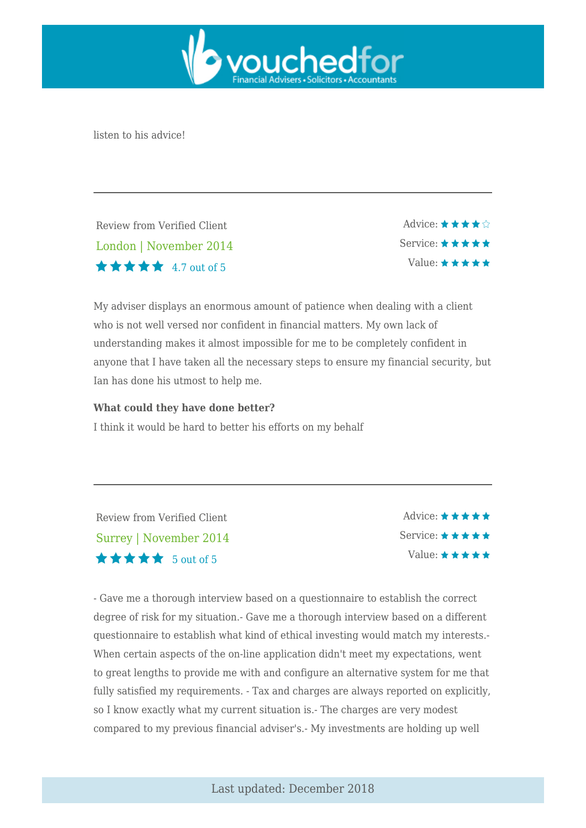

listen to his advice!

Review from Verified Client London | November 2014  $\star \star \star \star$  4.7 out of 5

Advice:  $\star \star \star \star \diamond$ Service: ★ ★ ★ ★ ★ Value:  $\star \star \star \star \star$ 

My adviser displays an enormous amount of patience when dealing with a client who is not well versed nor confident in financial matters. My own lack of understanding makes it almost impossible for me to be completely confident in anyone that I have taken all the necessary steps to ensure my financial security, but Ian has done his utmost to help me.

#### **What could they have done better?**

I think it would be hard to better his efforts on my behalf

Review from Verified Client Surrey | November 2014  $\star \star \star \star$  5 out of 5

Advice:  $\star \star \star \star \star$ Service:  $\star \star \star \star \star$ Value:  $\star \star \star \star \star$ 

- Gave me a thorough interview based on a questionnaire to establish the correct degree of risk for my situation.- Gave me a thorough interview based on a different questionnaire to establish what kind of ethical investing would match my interests.- When certain aspects of the on-line application didn't meet my expectations, went to great lengths to provide me with and configure an alternative system for me that fully satisfied my requirements. - Tax and charges are always reported on explicitly, so I know exactly what my current situation is.- The charges are very modest compared to my previous financial adviser's.- My investments are holding up well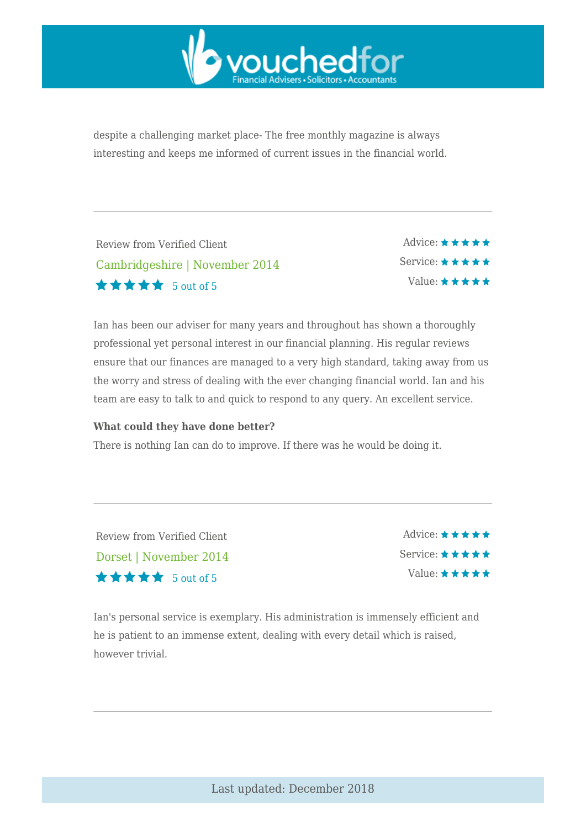

despite a challenging market place- The free monthly magazine is always interesting and keeps me informed of current issues in the financial world.

| Review from Verified Client |                                |
|-----------------------------|--------------------------------|
| <b>★★★★★</b> 5 out of 5     | Cambridgeshire   November 2014 |

Advice: ★ ★ ★ ★ ★ Service: ★ ★ ★ ★ ★ Value:  $\star \star \star \star \star$ 

Ian has been our adviser for many years and throughout has shown a thoroughly professional yet personal interest in our financial planning. His regular reviews ensure that our finances are managed to a very high standard, taking away from us the worry and stress of dealing with the ever changing financial world. Ian and his team are easy to talk to and quick to respond to any query. An excellent service.

#### **What could they have done better?**

There is nothing Ian can do to improve. If there was he would be doing it.

Review from Verified Client Dorset | November 2014 5 out of 5

Advice:  $\star \star \star \star \star$ Service: \* \* \* \* \* Value:  $\star \star \star \star \star$ 

Ian's personal service is exemplary. His administration is immensely efficient and he is patient to an immense extent, dealing with every detail which is raised, however trivial.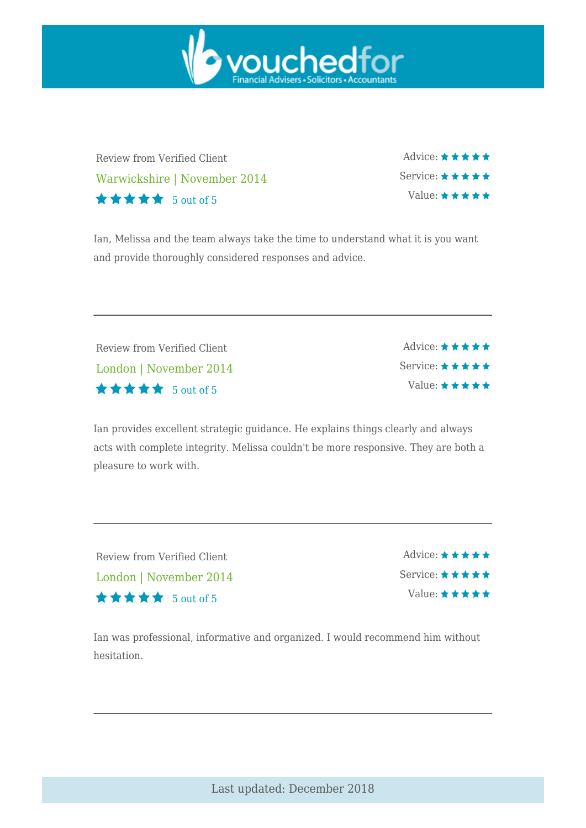

Review from Verified Client Warwickshire | November 2014 5 out of 5

Advice: ★ ★ ★ ★ ★ Service: \*\*\*\*\* Value: \* \* \* \* \*

Ian, Melissa and the team always take the time to understand what it is you want and provide thoroughly considered responses and advice.

Review from Verified Client London | November 2014 5 out of 5

Advice: ★ ★ ★ ★ ★ Service: ★ ★ ★ ★ ★ Value: ★★★★★

Ian provides excellent strategic guidance. He explains things clearly and always acts with complete integrity. Melissa couldn't be more responsive. They are both a pleasure to work with.

Review from Verified Client London | November 2014  $\star \star \star \star$  5 out of 5

Advice:  $\star \star \star \star \star$ Service: ★ ★ ★ ★ ★ Value:  $\star \star \star \star \star$ 

Ian was professional, informative and organized. I would recommend him without hesitation.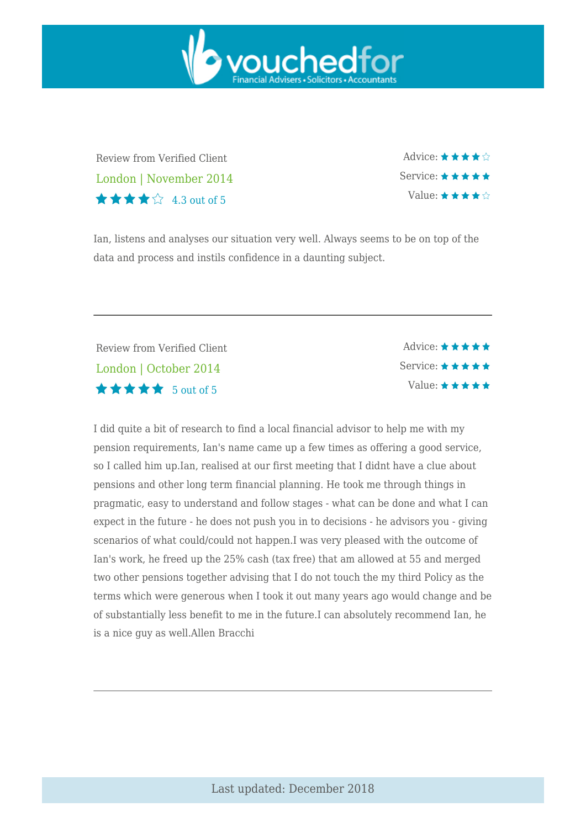

Review from Verified Client London | November 2014  $\star \star \star \star$  4.3 out of 5

Advice: ★ ★ ★ ★ ☆ Service: ★ ★ ★ ★ ★ Value:  $\star \star \star \star \diamond$ 

Ian, listens and analyses our situation very well. Always seems to be on top of the data and process and instils confidence in a daunting subject.

Review from Verified Client London | October 2014  $\star \star \star \star$  5 out of 5

Advice:  $\star \star \star \star \star$ Service:  $\star \star \star \star \star$ Value:  $\star \star \star \star \star$ 

I did quite a bit of research to find a local financial advisor to help me with my pension requirements, Ian's name came up a few times as offering a good service, so I called him up.Ian, realised at our first meeting that I didnt have a clue about pensions and other long term financial planning. He took me through things in pragmatic, easy to understand and follow stages - what can be done and what I can expect in the future - he does not push you in to decisions - he advisors you - giving scenarios of what could/could not happen.I was very pleased with the outcome of Ian's work, he freed up the 25% cash (tax free) that am allowed at 55 and merged two other pensions together advising that I do not touch the my third Policy as the terms which were generous when I took it out many years ago would change and be of substantially less benefit to me in the future.I can absolutely recommend Ian, he is a nice guy as well.Allen Bracchi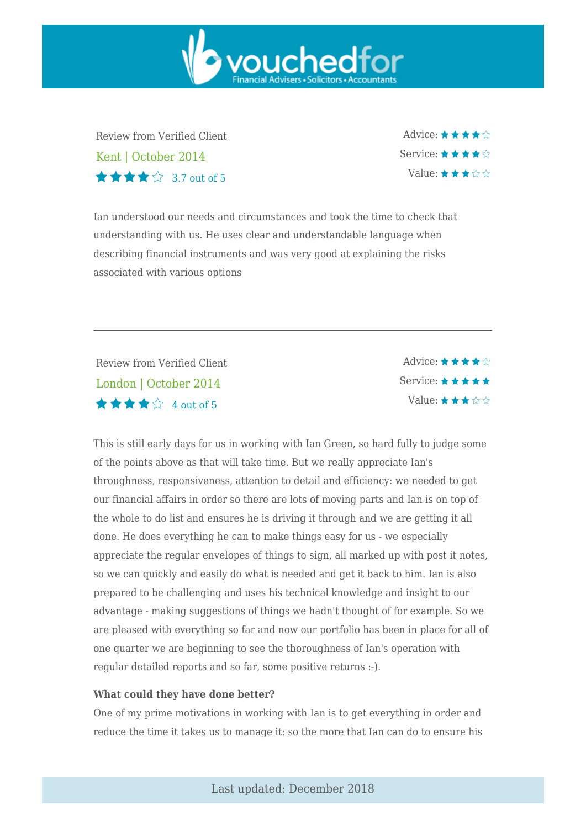Review from Verified Client Kent | October 2014  $\star \star \star \mathbb{Z}$  3.7 out of 5

Advice: ★ ★ ★ ★ ☆ Service:  $\star \star \star \star \diamondsuit$ Value:  $\star \star \star \land \land$ 

Ian understood our needs and circumstances and took the time to check that understanding with us. He uses clear and understandable language when describing financial instruments and was very good at explaining the risks associated with various options

vouchedfor

Review from Verified Client London | October 2014 4 out of 5

Advice:  $\star \star \star \star \diamond$ Service: ★ ★ ★ ★ ★ Value:  $\star \star \star \land \land$ 

This is still early days for us in working with Ian Green, so hard fully to judge some of the points above as that will take time. But we really appreciate Ian's throughness, responsiveness, attention to detail and efficiency: we needed to get our financial affairs in order so there are lots of moving parts and Ian is on top of the whole to do list and ensures he is driving it through and we are getting it all done. He does everything he can to make things easy for us - we especially appreciate the regular envelopes of things to sign, all marked up with post it notes, so we can quickly and easily do what is needed and get it back to him. Ian is also prepared to be challenging and uses his technical knowledge and insight to our advantage - making suggestions of things we hadn't thought of for example. So we are pleased with everything so far and now our portfolio has been in place for all of one quarter we are beginning to see the thoroughness of Ian's operation with regular detailed reports and so far, some positive returns :-).

#### **What could they have done better?**

One of my prime motivations in working with Ian is to get everything in order and reduce the time it takes us to manage it: so the more that Ian can do to ensure his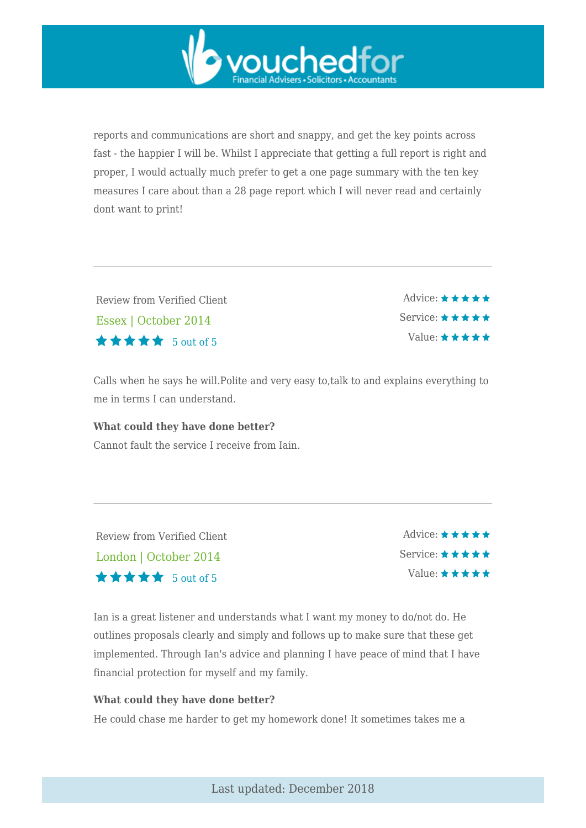reports and communications are short and snappy, and get the key points across fast - the happier I will be. Whilst I appreciate that getting a full report is right and proper, I would actually much prefer to get a one page summary with the ten key measures I care about than a 28 page report which I will never read and certainly dont want to print!

vouchedfor

Review from Verified Client Essex | October 2014  $\star \star \star \star$  5 out of 5

Advice:  $\star \star \star \star \star$ Service: \* \* \* \* \* Value:  $\star \star \star \star \star$ 

Calls when he says he will.Polite and very easy to,talk to and explains everything to me in terms I can understand.

## **What could they have done better?**

Cannot fault the service I receive from Iain.

Review from Verified Client London | October 2014  $\star \star \star \star$  5 out of 5

Advice:  $\star \star \star \star \star$ Service: \* \* \* \* \* Value:  $\star \star \star \star \star$ 

Ian is a great listener and understands what I want my money to do/not do. He outlines proposals clearly and simply and follows up to make sure that these get implemented. Through Ian's advice and planning I have peace of mind that I have financial protection for myself and my family.

#### **What could they have done better?**

He could chase me harder to get my homework done! It sometimes takes me a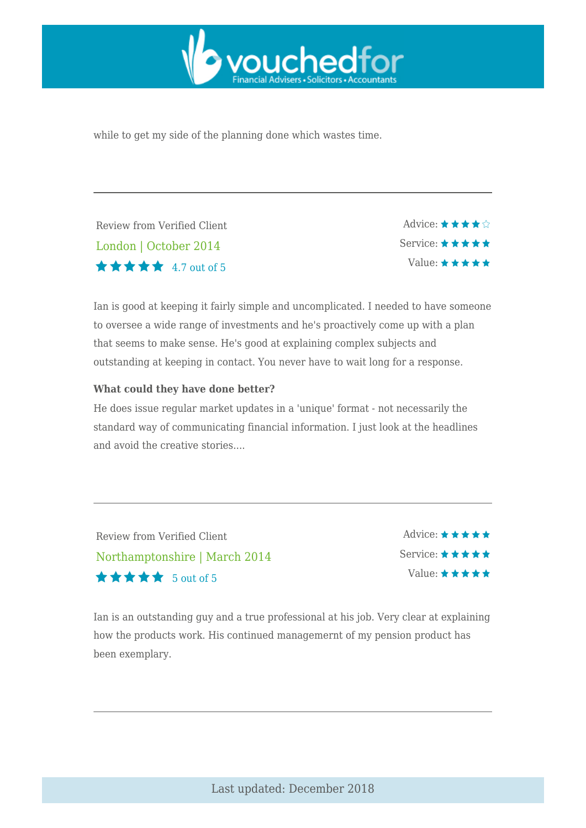

while to get my side of the planning done which wastes time.

Review from Verified Client London | October 2014  $\star \star \star \star$  4.7 out of 5

Advice:  $\star \star \star \star \diamond$ Service: ★ ★ ★ ★ ★ Value:  $\star \star \star \star \star$ 

Ian is good at keeping it fairly simple and uncomplicated. I needed to have someone to oversee a wide range of investments and he's proactively come up with a plan that seems to make sense. He's good at explaining complex subjects and outstanding at keeping in contact. You never have to wait long for a response.

#### **What could they have done better?**

He does issue regular market updates in a 'unique' format - not necessarily the standard way of communicating financial information. I just look at the headlines and avoid the creative stories....

Review from Verified Client Northamptonshire | March 2014  $\star \star \star \star$  5 out of 5

Advice:  $\star \star \star \star \star$ Service: \* \* \* \* \* Value:  $\star \star \star \star \star$ 

Ian is an outstanding guy and a true professional at his job. Very clear at explaining how the products work. His continued managemernt of my pension product has been exemplary.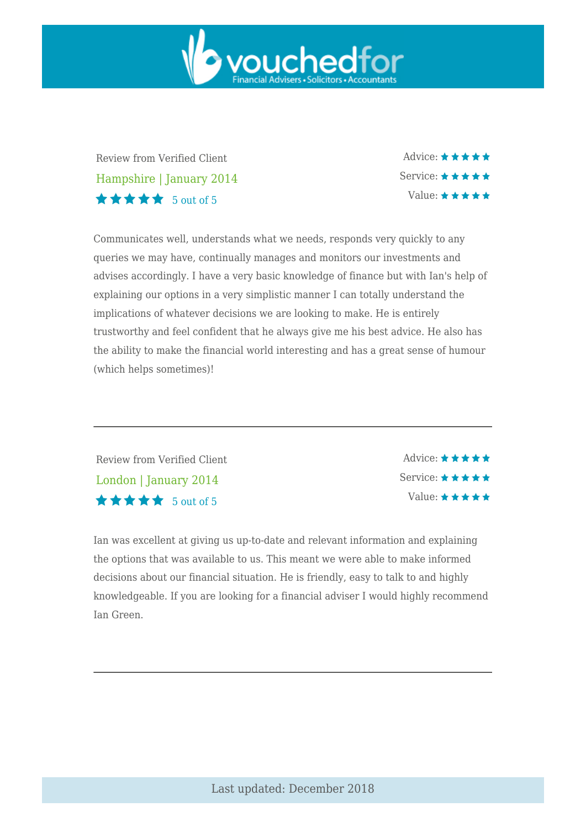

Review from Verified Client Hampshire | January 2014  $\star \star \star \star$  5 out of 5

Advice: ★ ★ ★ ★ ★ Service: ★ ★ ★ ★ ★ Value: \* \* \* \* \*

Communicates well, understands what we needs, responds very quickly to any queries we may have, continually manages and monitors our investments and advises accordingly. I have a very basic knowledge of finance but with Ian's help of explaining our options in a very simplistic manner I can totally understand the implications of whatever decisions we are looking to make. He is entirely trustworthy and feel confident that he always give me his best advice. He also has the ability to make the financial world interesting and has a great sense of humour (which helps sometimes)!

Review from Verified Client London | January 2014 5 out of 5

Advice: ★ ★ ★ ★ ★ Service: ★ ★ ★ ★ ★ Value:  $\star \star \star \star \star$ 

Ian was excellent at giving us up-to-date and relevant information and explaining the options that was available to us. This meant we were able to make informed decisions about our financial situation. He is friendly, easy to talk to and highly knowledgeable. If you are looking for a financial adviser I would highly recommend Ian Green.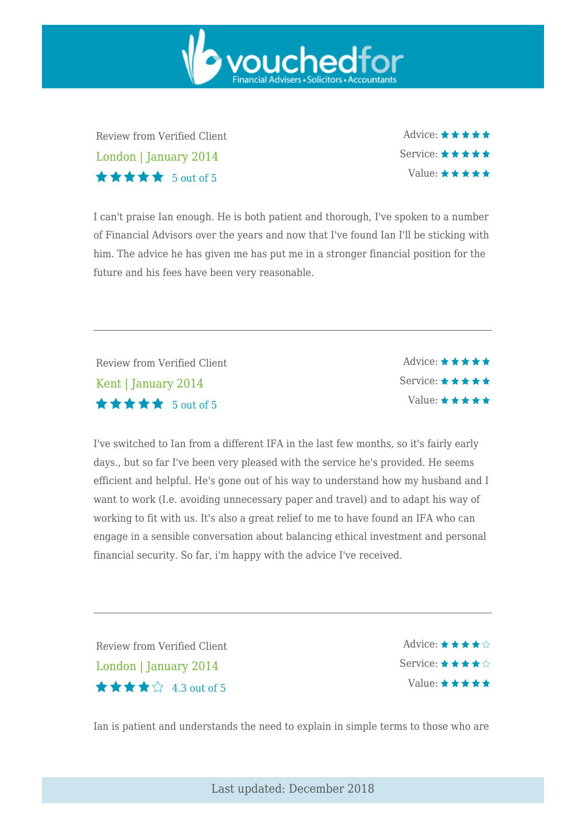Review from Verified Client London | January 2014 5 out of 5

Advice:  $\star \star \star \star \star$ Service:  $\star \star \star \star \star$ Value:  $\star \star \star \star \star$ 

I can't praise Ian enough. He is both patient and thorough, I've spoken to a number of Financial Advisors over the years and now that I've found Ian I'll be sticking with him. The advice he has given me has put me in a stronger financial position for the future and his fees have been very reasonable.

vouchedfor

Review from Verified Client Kent | January 2014  $\star \star \star \star$  5 out of 5

Advice:  $\star \star \star \star \star$ Service: \* \* \* \* \* Value:  $\star \star \star \star \star$ 

I've switched to Ian from a different IFA in the last few months, so it's fairly early days., but so far I've been very pleased with the service he's provided. He seems efficient and helpful. He's gone out of his way to understand how my husband and I want to work (I.e. avoiding unnecessary paper and travel) and to adapt his way of working to fit with us. It's also a great relief to me to have found an IFA who can engage in a sensible conversation about balancing ethical investment and personal financial security. So far, i'm happy with the advice I've received.

Review from Verified Client London | January 2014 4.3 out of 5

Advice:  $\star \star \star \star \diamondsuit$ Service:  $\star \star \star \star \diamond$ Value:  $\star \star \star \star \star$ 

Ian is patient and understands the need to explain in simple terms to those who are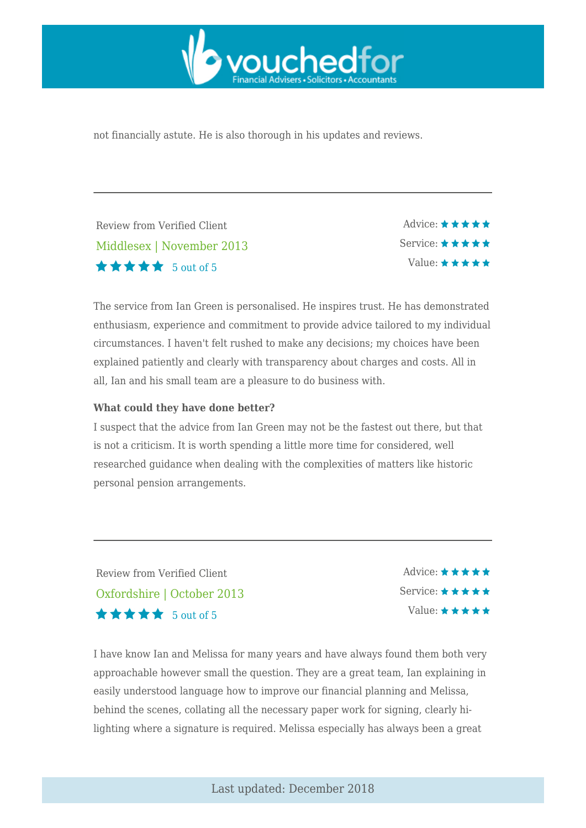

not financially astute. He is also thorough in his updates and reviews.

Review from Verified Client Middlesex | November 2013  $\star \star \star \star$  5 out of 5

Advice:  $\star \star \star \star \star$ Service: ★ ★ ★ ★ ★ Value:  $\star \star \star \star \star$ 

The service from Ian Green is personalised. He inspires trust. He has demonstrated enthusiasm, experience and commitment to provide advice tailored to my individual circumstances. I haven't felt rushed to make any decisions; my choices have been explained patiently and clearly with transparency about charges and costs. All in all, Ian and his small team are a pleasure to do business with.

#### **What could they have done better?**

I suspect that the advice from Ian Green may not be the fastest out there, but that is not a criticism. It is worth spending a little more time for considered, well researched guidance when dealing with the complexities of matters like historic personal pension arrangements.

Review from Verified Client Oxfordshire | October 2013  $\star \star \star \star$  5 out of 5

Advice:  $\star \star \star \star \star$ Service:  $\star \star \star \star \star$ Value:  $\star \star \star \star \star$ 

I have know Ian and Melissa for many years and have always found them both very approachable however small the question. They are a great team, Ian explaining in easily understood language how to improve our financial planning and Melissa, behind the scenes, collating all the necessary paper work for signing, clearly hilighting where a signature is required. Melissa especially has always been a great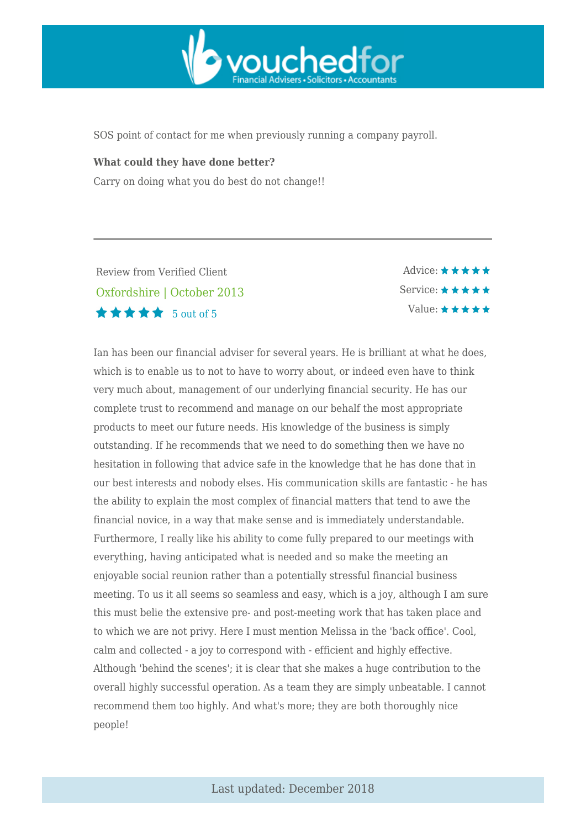

SOS point of contact for me when previously running a company payroll.

#### **What could they have done better?**

Carry on doing what you do best do not change!!

Review from Verified Client Oxfordshire | October 2013  $\star \star \star \star$  5 out of 5

Advice:  $\star \star \star \star \star$ Service: \* \* \* \* \* Value:  $\star \star \star \star \star$ 

Ian has been our financial adviser for several years. He is brilliant at what he does, which is to enable us to not to have to worry about, or indeed even have to think very much about, management of our underlying financial security. He has our complete trust to recommend and manage on our behalf the most appropriate products to meet our future needs. His knowledge of the business is simply outstanding. If he recommends that we need to do something then we have no hesitation in following that advice safe in the knowledge that he has done that in our best interests and nobody elses. His communication skills are fantastic - he has the ability to explain the most complex of financial matters that tend to awe the financial novice, in a way that make sense and is immediately understandable. Furthermore, I really like his ability to come fully prepared to our meetings with everything, having anticipated what is needed and so make the meeting an enjoyable social reunion rather than a potentially stressful financial business meeting. To us it all seems so seamless and easy, which is a joy, although I am sure this must belie the extensive pre- and post-meeting work that has taken place and to which we are not privy. Here I must mention Melissa in the 'back office'. Cool, calm and collected - a joy to correspond with - efficient and highly effective. Although 'behind the scenes'; it is clear that she makes a huge contribution to the overall highly successful operation. As a team they are simply unbeatable. I cannot recommend them too highly. And what's more; they are both thoroughly nice people!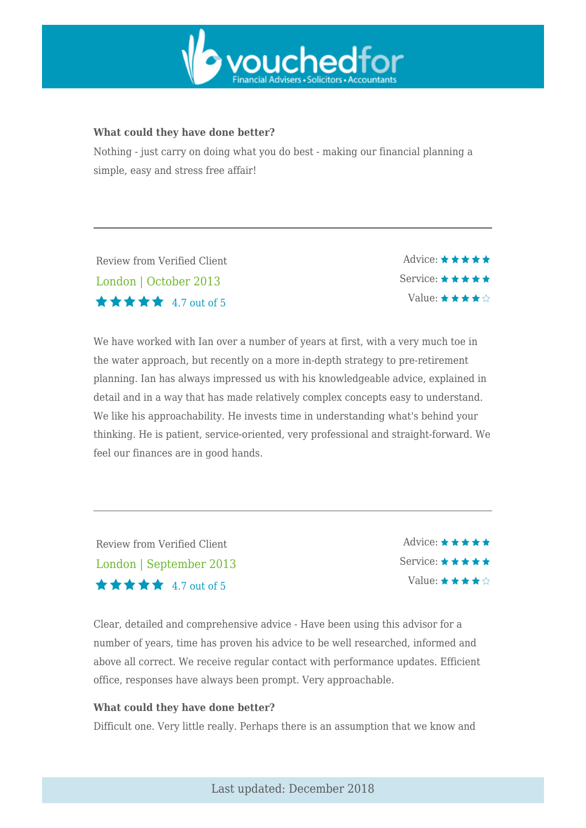

#### **What could they have done better?**

Nothing - just carry on doing what you do best - making our financial planning a simple, easy and stress free affair!

Review from Verified Client London | October 2013  $\star \star \star \star$  4.7 out of 5

Advice:  $\star \star \star \star \star$ Service: \* \* \* \* \* Value:  $\star \star \star \star \hat{\mathbb{R}}$ 

We have worked with Ian over a number of years at first, with a very much toe in the water approach, but recently on a more in-depth strategy to pre-retirement planning. Ian has always impressed us with his knowledgeable advice, explained in detail and in a way that has made relatively complex concepts easy to understand. We like his approachability. He invests time in understanding what's behind your thinking. He is patient, service-oriented, very professional and straight-forward. We feel our finances are in good hands.

Review from Verified Client London | September 2013  $\star \star \star \star$  4.7 out of 5

Advice:  $\star \star \star \star \star$ Service:  $\star \star \star \star \star$ Value:  $\star \star \star \star$ 

Clear, detailed and comprehensive advice - Have been using this advisor for a number of years, time has proven his advice to be well researched, informed and above all correct. We receive regular contact with performance updates. Efficient office, responses have always been prompt. Very approachable.

#### **What could they have done better?**

Difficult one. Very little really. Perhaps there is an assumption that we know and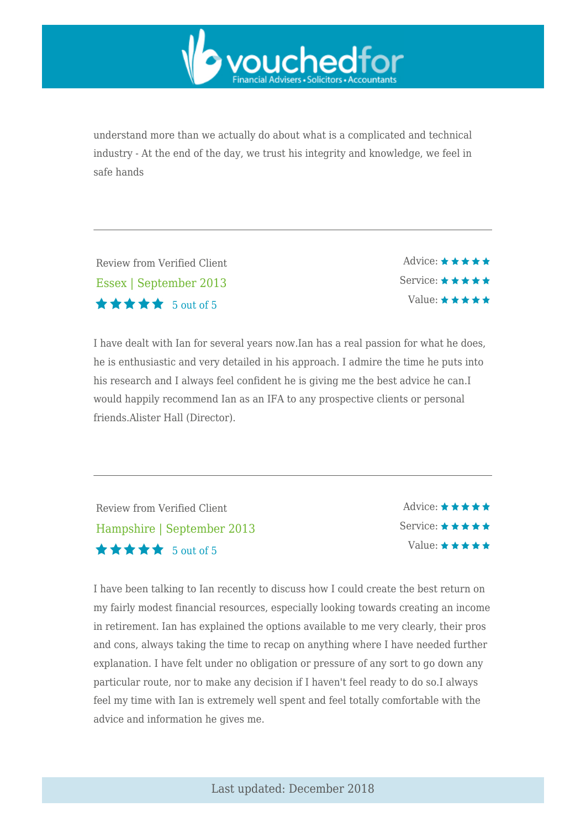

understand more than we actually do about what is a complicated and technical industry - At the end of the day, we trust his integrity and knowledge, we feel in safe hands

Review from Verified Client Essex | September 2013  $\star \star \star \star$  5 out of 5

Advice: \*\*\*\*\* Service: \*\*\*\*\* Value:  $\star \star \star \star \star$ 

I have dealt with Ian for several years now.Ian has a real passion for what he does, he is enthusiastic and very detailed in his approach. I admire the time he puts into his research and I always feel confident he is giving me the best advice he can.I would happily recommend Ian as an IFA to any prospective clients or personal friends.Alister Hall (Director).

Review from Verified Client Hampshire | September 2013 5 out of 5

Advice:  $\star \star \star \star \star$ Service:  $\star \star \star \star \star$ Value:  $\star \star \star \star \star$ 

I have been talking to Ian recently to discuss how I could create the best return on my fairly modest financial resources, especially looking towards creating an income in retirement. Ian has explained the options available to me very clearly, their pros and cons, always taking the time to recap on anything where I have needed further explanation. I have felt under no obligation or pressure of any sort to go down any particular route, nor to make any decision if I haven't feel ready to do so.I always feel my time with Ian is extremely well spent and feel totally comfortable with the advice and information he gives me.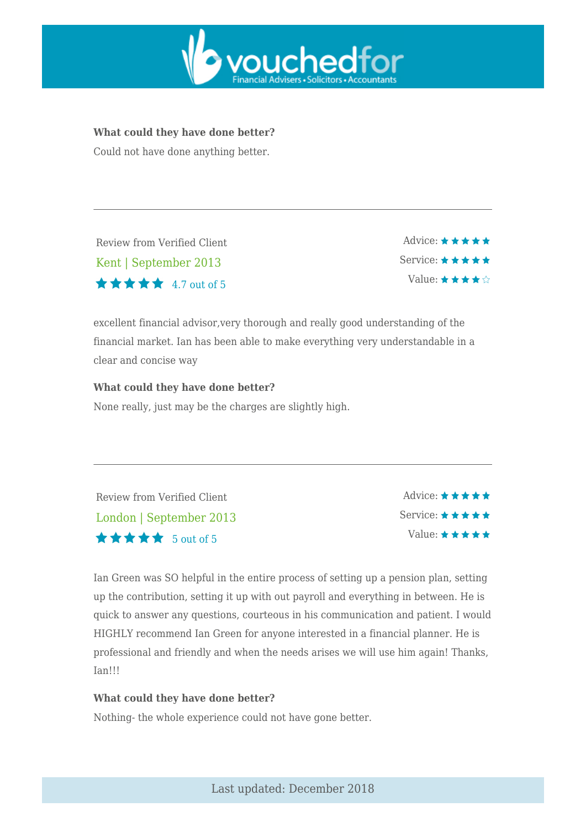

#### **What could they have done better?**

Could not have done anything better.

Review from Verified Client Kent | September 2013  $\star \star \star \star$  4.7 out of 5

Advice:  $\star \star \star \star \star$ Service:  $\star \star \star \star \star$ Value:  $\star \star \star \star \diamond$ 

excellent financial advisor,very thorough and really good understanding of the financial market. Ian has been able to make everything very understandable in a clear and concise way

#### **What could they have done better?**

None really, just may be the charges are slightly high.

| Review from Verified Client                               | Advice: $\star \star \star \star \star$  |
|-----------------------------------------------------------|------------------------------------------|
| London   September 2013                                   | Service: $\star \star \star \star \star$ |
| $\bigstar \bigstar \bigstar \bigstar \bigstar$ 5 out of 5 | $Value: \star \star \star \star \star$   |

Ian Green was SO helpful in the entire process of setting up a pension plan, setting up the contribution, setting it up with out payroll and everything in between. He is quick to answer any questions, courteous in his communication and patient. I would HIGHLY recommend Ian Green for anyone interested in a financial planner. He is professional and friendly and when the needs arises we will use him again! Thanks, Ian!!!

#### **What could they have done better?**

Nothing- the whole experience could not have gone better.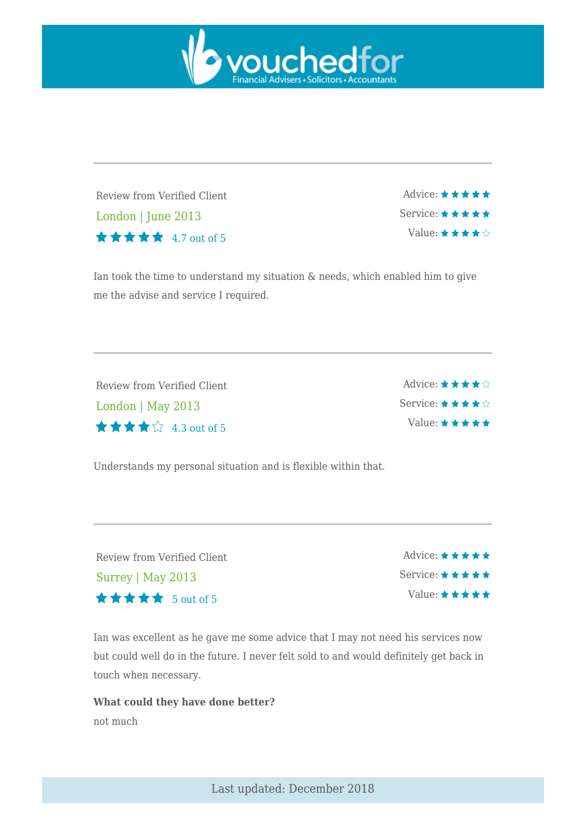

Review from Verified Client London | June 2013 4.7 out of 5

Advice: ★ ★ ★ ★ ★ Service: \* \* \* \* \* Value:  $\star \star \star \star$ 

Ian took the time to understand my situation & needs, which enabled him to give me the advise and service I required.

| Review from Verified Client                | Advice: $\star \star \star \star \diamond$  |
|--------------------------------------------|---------------------------------------------|
| London   May 2013                          | Service: $\star \star \star \star \diamond$ |
| $\star \star \star \star \hat{\mathbb{Q}}$ | Value: $\star \star \star \star \star$      |

Understands my personal situation and is flexible within that.

| Review from Verified Client                | $\Delta$ dvice: $\star \star \star \star \star$ |
|--------------------------------------------|-------------------------------------------------|
| $Surrey \mid May\ 2013$                    | Service: $\star \star \star \star \star$        |
| $\star \star \star \star \star$ 5 out of 5 | $Value: \star \star \star \star \star$          |

Ian was excellent as he gave me some advice that I may not need his services now but could well do in the future. I never felt sold to and would definitely get back in touch when necessary.

**What could they have done better?** not much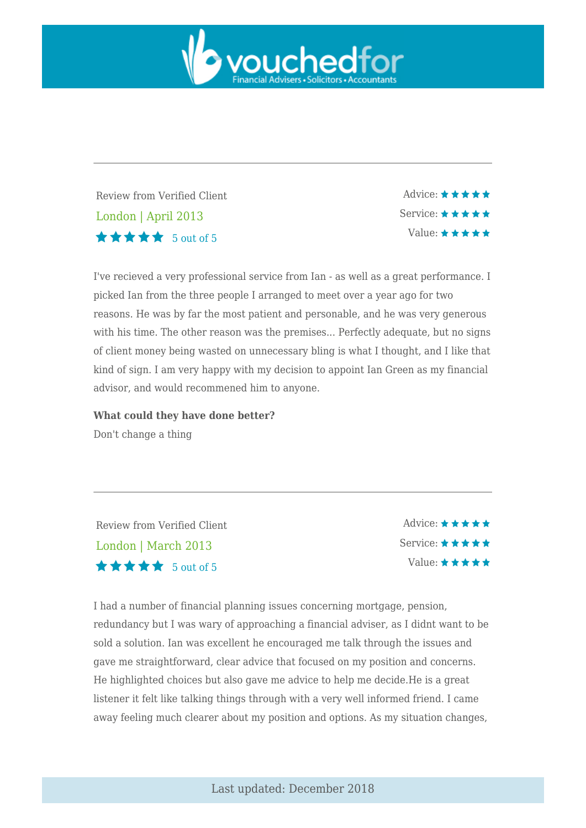

Review from Verified Client London | April 2013  $\star \star \star \star$  5 out of 5

Advice: \*\*\*\*\* Service: \* \* \* \* \* Value:  $\star \star \star \star \star$ 

I've recieved a very professional service from Ian - as well as a great performance. I picked Ian from the three people I arranged to meet over a year ago for two reasons. He was by far the most patient and personable, and he was very generous with his time. The other reason was the premises... Perfectly adequate, but no signs of client money being wasted on unnecessary bling is what I thought, and I like that kind of sign. I am very happy with my decision to appoint Ian Green as my financial advisor, and would recommened him to anyone.

**What could they have done better?**

Don't change a thing

Review from Verified Client London | March 2013 5 out of 5

Advice:  $\star \star \star \star \star$ Service:  $\star \star \star \star \star$ Value:  $\star \star \star \star \star$ 

I had a number of financial planning issues concerning mortgage, pension, redundancy but I was wary of approaching a financial adviser, as I didnt want to be sold a solution. Ian was excellent he encouraged me talk through the issues and gave me straightforward, clear advice that focused on my position and concerns. He highlighted choices but also gave me advice to help me decide.He is a great listener it felt like talking things through with a very well informed friend. I came away feeling much clearer about my position and options. As my situation changes,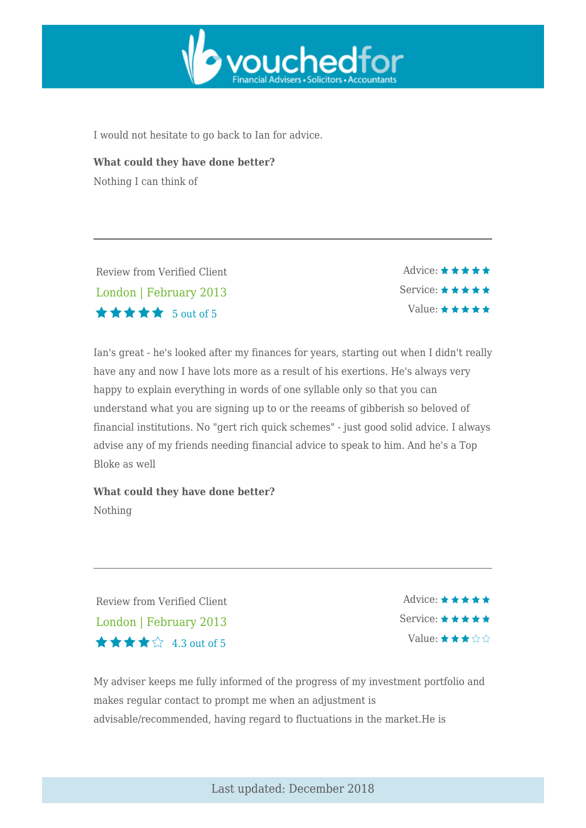

I would not hesitate to go back to Ian for advice.

**What could they have done better?** Nothing I can think of

Review from Verified Client London | February 2013  $\star \star \star \star$  5 out of 5

Advice:  $\star \star \star \star \star$ Service: ★ ★ ★ ★ ★ Value:  $\star \star \star \star \star$ 

Ian's great - he's looked after my finances for years, starting out when I didn't really have any and now I have lots more as a result of his exertions. He's always very happy to explain everything in words of one syllable only so that you can understand what you are signing up to or the reeams of gibberish so beloved of financial institutions. No "gert rich quick schemes" - just good solid advice. I always advise any of my friends needing financial advice to speak to him. And he's a Top Bloke as well

**What could they have done better?** Nothing

Review from Verified Client London | February 2013  $\star \star \star \mathop{\otimes}$  4.3 out of 5

 $\triangle$ dvice:  $\star \star \star \star \star$ Service: \* \* \* \* \* Value:  $\star \star \star \diamond$ 

My adviser keeps me fully informed of the progress of my investment portfolio and makes regular contact to prompt me when an adjustment is advisable/recommended, having regard to fluctuations in the market.He is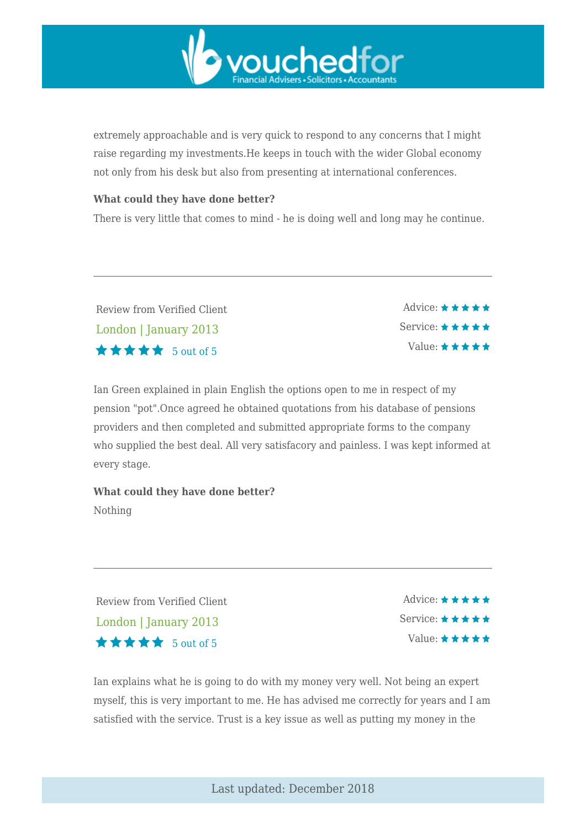

extremely approachable and is very quick to respond to any concerns that I might raise regarding my investments.He keeps in touch with the wider Global economy not only from his desk but also from presenting at international conferences.

#### **What could they have done better?**

There is very little that comes to mind - he is doing well and long may he continue.

Review from Verified Client London | January 2013 5 out of 5

Advice:  $\star \star \star \star \star$ Service: ★ ★ ★ ★ ★ Value:  $\star \star \star \star \star$ 

Ian Green explained in plain English the options open to me in respect of my pension "pot".Once agreed he obtained quotations from his database of pensions providers and then completed and submitted appropriate forms to the company who supplied the best deal. All very satisfacory and painless. I was kept informed at every stage.

**What could they have done better?** Nothing

Review from Verified Client London | January 2013  $\star \star \star \star$  5 out of 5

 $\triangle$ dvice:  $\star \star \star \star \star$ Service:  $\star \star \star \star \star$ Value:  $\star \star \star \star \star$ 

Ian explains what he is going to do with my money very well. Not being an expert myself, this is very important to me. He has advised me correctly for years and I am satisfied with the service. Trust is a key issue as well as putting my money in the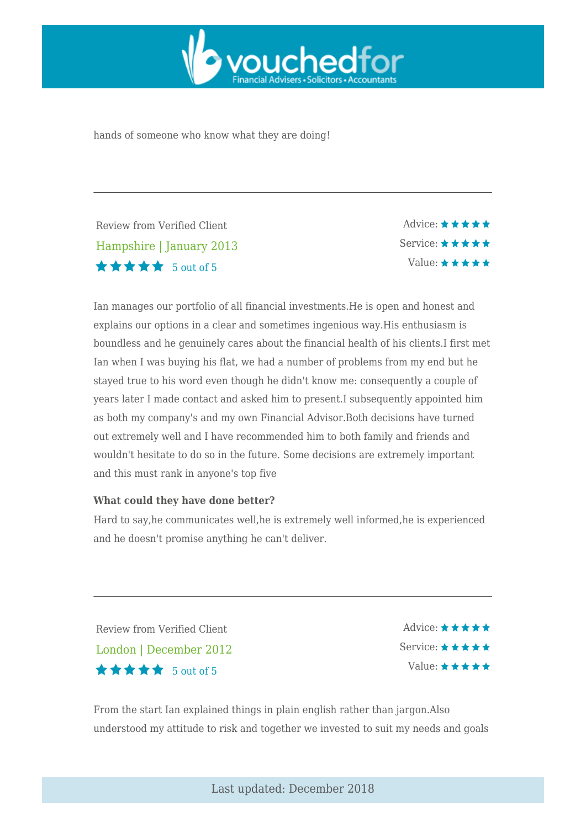

hands of someone who know what they are doing!

Review from Verified Client Hampshire | January 2013  $\star \star \star \star$  5 out of 5

Advice:  $\star \star \star \star \star$ Service: ★ ★ ★ ★ ★ Value:  $\star \star \star \star \star$ 

Ian manages our portfolio of all financial investments.He is open and honest and explains our options in a clear and sometimes ingenious way.His enthusiasm is boundless and he genuinely cares about the financial health of his clients.I first met Ian when I was buying his flat, we had a number of problems from my end but he stayed true to his word even though he didn't know me: consequently a couple of years later I made contact and asked him to present.I subsequently appointed him as both my company's and my own Financial Advisor.Both decisions have turned out extremely well and I have recommended him to both family and friends and wouldn't hesitate to do so in the future. Some decisions are extremely important and this must rank in anyone's top five

#### **What could they have done better?**

Hard to say,he communicates well,he is extremely well informed,he is experienced and he doesn't promise anything he can't deliver.

Review from Verified Client London | December 2012 5 out of 5

Advice:  $\star \star \star \star \star$ Service:  $\star \star \star \star \star$ Value:  $\star \star \star \star \star$ 

From the start Ian explained things in plain english rather than jargon.Also understood my attitude to risk and together we invested to suit my needs and goals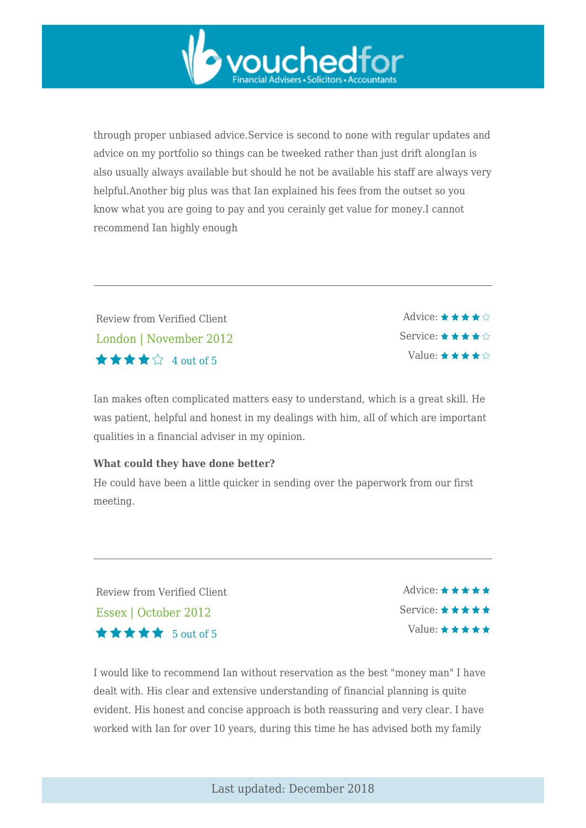through proper unbiased advice.Service is second to none with regular updates and advice on my portfolio so things can be tweeked rather than just drift alongIan is also usually always available but should he not be available his staff are always very helpful.Another big plus was that Ian explained his fees from the outset so you know what you are going to pay and you cerainly get value for money.I cannot recommend Ian highly enough

vouchedfor

Review from Verified Client London | November 2012  $\star \star \star \mathcal{L}$  4 out of 5

Advice:  $\star \star \star \star \diamondsuit$ Service: ★ ★ ★ ★ ☆ Value:  $\star \star \star \star \hat{\mathbb{R}}$ 

Ian makes often complicated matters easy to understand, which is a great skill. He was patient, helpful and honest in my dealings with him, all of which are important qualities in a financial adviser in my opinion.

#### **What could they have done better?**

He could have been a little quicker in sending over the paperwork from our first meeting.

Review from Verified Client Essex | October 2012  $\star \star \star \star$  5 out of 5

Advice:  $\star \star \star \star \star$ Service: \* \* \* \* \* Value:  $\star \star \star \star \star$ 

I would like to recommend Ian without reservation as the best "money man" I have dealt with. His clear and extensive understanding of financial planning is quite evident. His honest and concise approach is both reassuring and very clear. I have worked with Ian for over 10 years, during this time he has advised both my family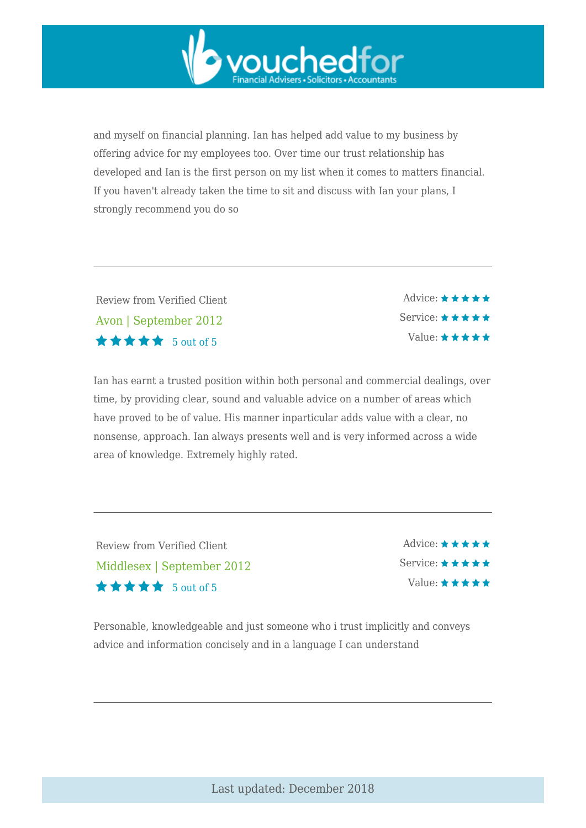

and myself on financial planning. Ian has helped add value to my business by offering advice for my employees too. Over time our trust relationship has developed and Ian is the first person on my list when it comes to matters financial. If you haven't already taken the time to sit and discuss with Ian your plans, I strongly recommend you do so

Review from Verified Client Avon | September 2012  $\star \star \star \star$  5 out of 5

Advice:  $\star \star \star \star \star$ Service: \* \* \* \* \* Value:  $\star \star \star \star \star$ 

Ian has earnt a trusted position within both personal and commercial dealings, over time, by providing clear, sound and valuable advice on a number of areas which have proved to be of value. His manner inparticular adds value with a clear, no nonsense, approach. Ian always presents well and is very informed across a wide area of knowledge. Extremely highly rated.

Review from Verified Client Middlesex | September 2012  $\star \star \star \star$  5 out of 5

Advice:  $\star \star \star \star \star$ Service: ★ ★ ★ ★ ★ Value:  $\star \star \star \star \star$ 

Personable, knowledgeable and just someone who i trust implicitly and conveys advice and information concisely and in a language I can understand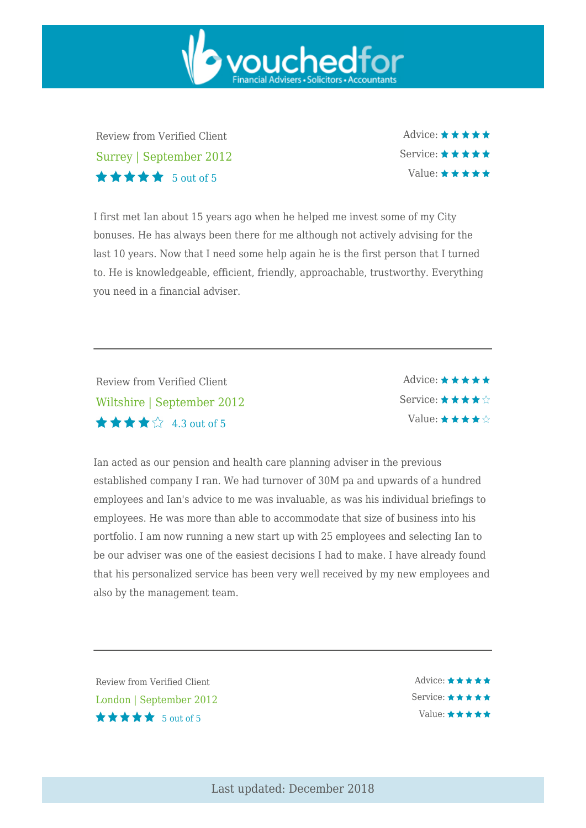Review from Verified Client Surrey | September 2012  $\star \star \star \star$  5 out of 5

Advice: ★ ★ ★ ★ ★ Service:  $\star \star \star \star \star$ Value:  $\star \star \star \star \star$ 

I first met Ian about 15 years ago when he helped me invest some of my City bonuses. He has always been there for me although not actively advising for the last 10 years. Now that I need some help again he is the first person that I turned to. He is knowledgeable, efficient, friendly, approachable, trustworthy. Everything you need in a financial adviser.

vouchedfor

Review from Verified Client Wiltshire | September 2012  $\star \star \star \mathrel{\mathop :}$  4.3 out of 5

Advice:  $\star \star \star \star \star$ Service: ★★★★☆ Value:  $\star \star \star \star \diamond$ 

Ian acted as our pension and health care planning adviser in the previous established company I ran. We had turnover of 30M pa and upwards of a hundred employees and Ian's advice to me was invaluable, as was his individual briefings to employees. He was more than able to accommodate that size of business into his portfolio. I am now running a new start up with 25 employees and selecting Ian to be our adviser was one of the easiest decisions I had to make. I have already found that his personalized service has been very well received by my new employees and also by the management team.

Review from Verified Client London | September 2012  $\star \star \star \star$  5 out of 5

Advice: ★★★★★ Service: ★★★★★ Value: ★★★★★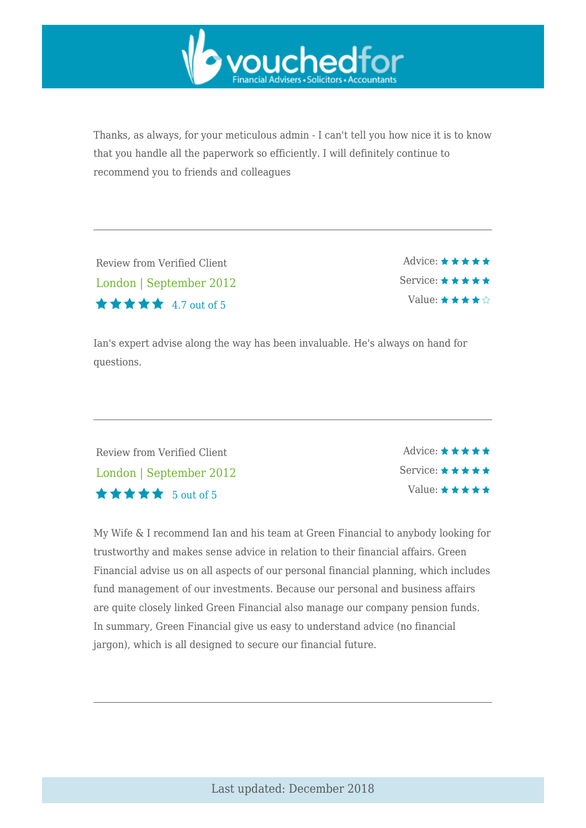

Thanks, as always, for your meticulous admin - I can't tell you how nice it is to know that you handle all the paperwork so efficiently. I will definitely continue to recommend you to friends and colleagues

Review from Verified Client London | September 2012  $\star \star \star \star$  4.7 out of 5

Advice: \*\*\*\*\* Service: \*\*\*\*\* Value:  $\star \star \star \star \diamond$ 

Ian's expert advise along the way has been invaluable. He's always on hand for questions.

Review from Verified Client London | September 2012 5 out of 5

Advice:  $\star \star \star \star \star$ Service: \* \* \* \* \* Value:  $\star \star \star \star \star$ 

My Wife & I recommend Ian and his team at Green Financial to anybody looking for trustworthy and makes sense advice in relation to their financial affairs. Green Financial advise us on all aspects of our personal financial planning, which includes fund management of our investments. Because our personal and business affairs are quite closely linked Green Financial also manage our company pension funds. In summary, Green Financial give us easy to understand advice (no financial jargon), which is all designed to secure our financial future.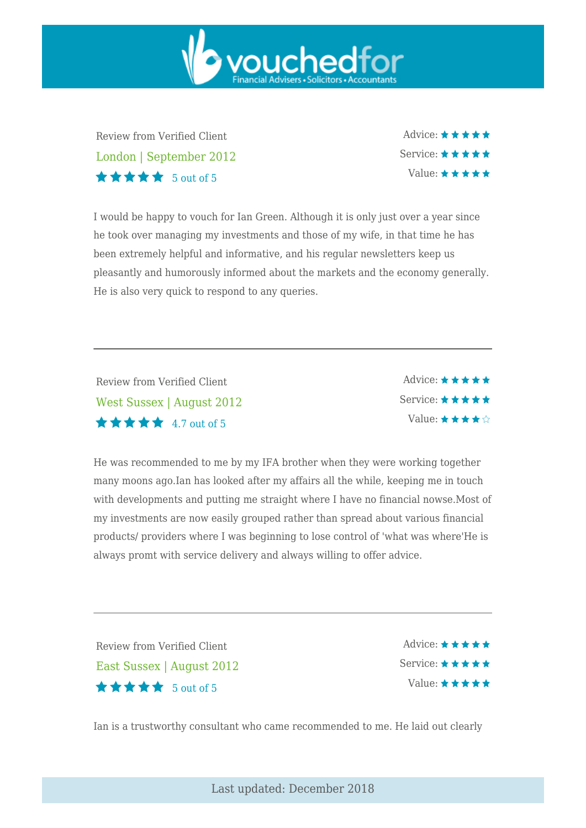Review from Verified Client London | September 2012 5 out of 5

Advice: ★ ★ ★ ★ ★ Service:  $\star \star \star \star \star$ Value:  $\star \star \star \star \star$ 

I would be happy to vouch for Ian Green. Although it is only just over a year since he took over managing my investments and those of my wife, in that time he has been extremely helpful and informative, and his regular newsletters keep us pleasantly and humorously informed about the markets and the economy generally. He is also very quick to respond to any queries.

vouchedfor

Review from Verified Client West Sussex | August 2012  $\star \star \star \star$  4.7 out of 5

Advice:  $\star \star \star \star \star$ Service: ★ ★ ★ ★ ★ Value:  $\star \star \star \star \diamond$ 

He was recommended to me by my IFA brother when they were working together many moons ago.Ian has looked after my affairs all the while, keeping me in touch with developments and putting me straight where I have no financial nowse.Most of my investments are now easily grouped rather than spread about various financial products/ providers where I was beginning to lose control of 'what was where'He is always promt with service delivery and always willing to offer advice.

Review from Verified Client East Sussex | August 2012 5 out of 5

Advice:  $\star \star \star \star \star$ Service:  $\star \star \star \star \star$ Value:  $\star \star \star \star \star$ 

Ian is a trustworthy consultant who came recommended to me. He laid out clearly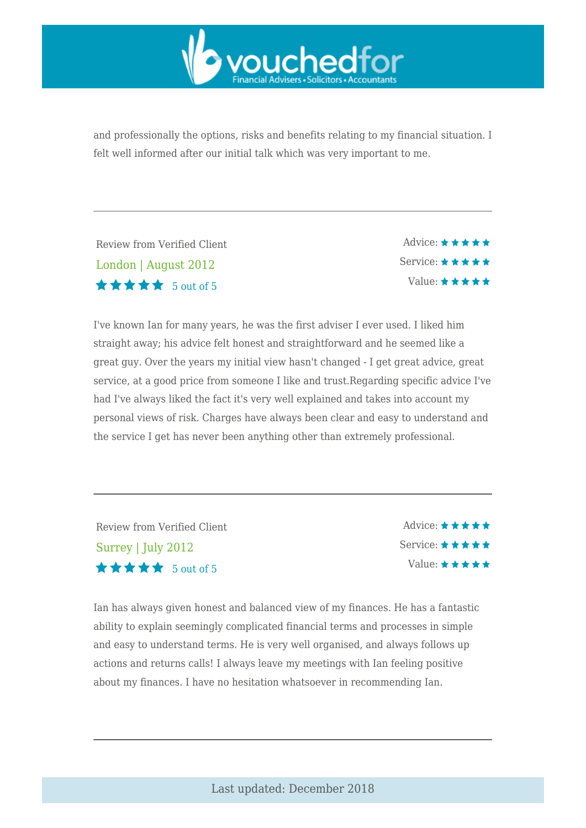

and professionally the options, risks and benefits relating to my financial situation. I felt well informed after our initial talk which was very important to me.

Review from Verified Client London | August 2012  $\star \star \star \star$  5 out of 5

Advice:  $\star \star \star \star \star$ Service: ★ ★ ★ ★ ★ Value:  $\star \star \star \star \star$ 

I've known Ian for many years, he was the first adviser I ever used. I liked him straight away; his advice felt honest and straightforward and he seemed like a great guy. Over the years my initial view hasn't changed - I get great advice, great service, at a good price from someone I like and trust.Regarding specific advice I've had I've always liked the fact it's very well explained and takes into account my personal views of risk. Charges have always been clear and easy to understand and the service I get has never been anything other than extremely professional.

Review from Verified Client Surrey | July 2012 5 out of 5

Advice:  $\star \star \star \star \star$ Service:  $\star \star \star \star \star$ Value:  $\star \star \star \star \star$ 

Ian has always given honest and balanced view of my finances. He has a fantastic ability to explain seemingly complicated financial terms and processes in simple and easy to understand terms. He is very well organised, and always follows up actions and returns calls! I always leave my meetings with Ian feeling positive about my finances. I have no hesitation whatsoever in recommending Ian.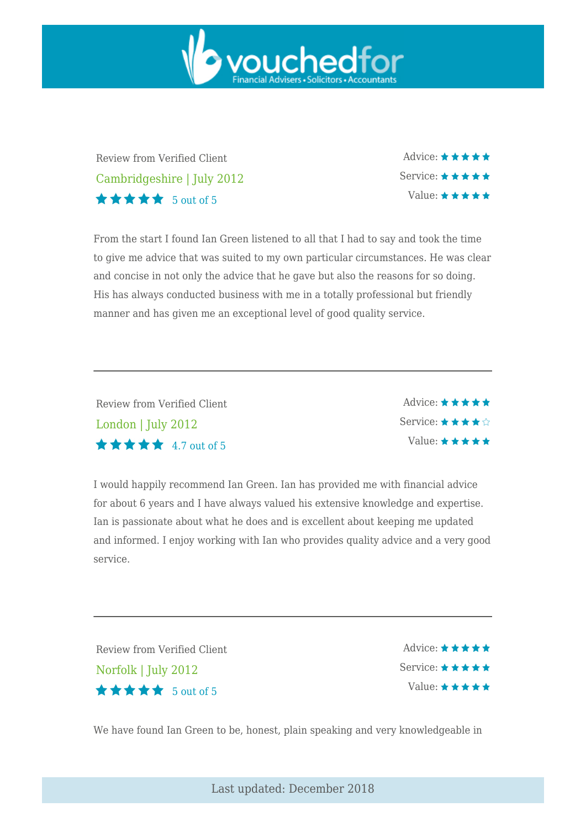

Review from Verified Client Cambridgeshire | July 2012 5 out of 5

Advice: ★ ★ ★ ★ ★ Service: ★ ★ ★ ★ ★ Value: \* \* \* \* \*

From the start I found Ian Green listened to all that I had to say and took the time to give me advice that was suited to my own particular circumstances. He was clear and concise in not only the advice that he gave but also the reasons for so doing. His has always conducted business with me in a totally professional but friendly manner and has given me an exceptional level of good quality service.

Review from Verified Client London | July 2012  $\star \star \star \star$  4.7 out of 5

Advice: ★ ★ ★ ★ ★ Service:  $\star \star \star \star \diamondsuit$ Value:  $\star \star \star \star \star$ 

I would happily recommend Ian Green. Ian has provided me with financial advice for about 6 years and I have always valued his extensive knowledge and expertise. Ian is passionate about what he does and is excellent about keeping me updated and informed. I enjoy working with Ian who provides quality advice and a very good service.

Review from Verified Client Norfolk | July 2012  $\star \star \star \star$  5 out of 5

Advice:  $\star \star \star \star \star$ Service:  $\star \star \star \star \star$ Value:  $\star \star \star \star \star$ 

We have found Ian Green to be, honest, plain speaking and very knowledgeable in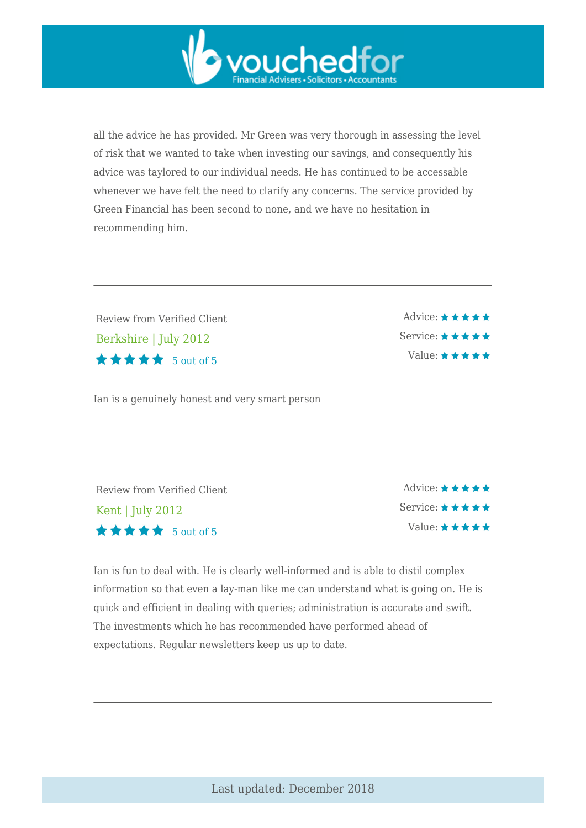all the advice he has provided. Mr Green was very thorough in assessing the level of risk that we wanted to take when investing our savings, and consequently his advice was taylored to our individual needs. He has continued to be accessable whenever we have felt the need to clarify any concerns. The service provided by Green Financial has been second to none, and we have no hesitation in recommending him.

vouchedfor

Review from Verified Client Berkshire | July 2012  $\star \star \star \star$  5 out of 5

Ian is a genuinely honest and very smart person

Advice:  $\star \star \star \star \star$ Service: ★ ★ ★ ★ ★ Value:  $\star \star \star \star \star$ 

Review from Verified Client Kent | July 2012  $\star \star \star \star$  5 out of 5

Advice:  $\star \star \star \star \star$ Service: \* \* \* \* \* Value:  $\star \star \star \star \star$ 

Ian is fun to deal with. He is clearly well-informed and is able to distil complex information so that even a lay-man like me can understand what is going on. He is quick and efficient in dealing with queries; administration is accurate and swift. The investments which he has recommended have performed ahead of expectations. Regular newsletters keep us up to date.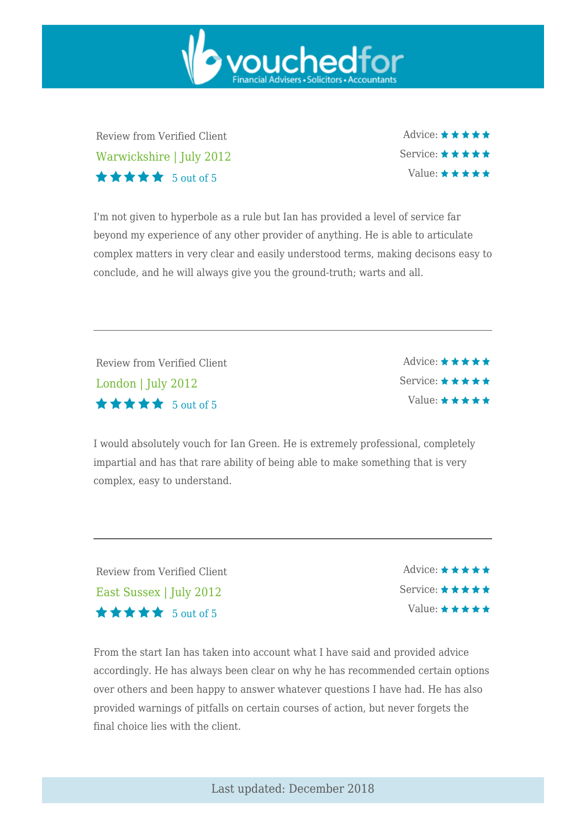Review from Verified Client Warwickshire | July 2012  $\star \star \star \star$  5 out of 5

Advice:  $\star \star \star \star \star$ Service:  $\star \star \star \star \star$ Value:  $\star \star \star \star \star$ 

I'm not given to hyperbole as a rule but Ian has provided a level of service far beyond my experience of any other provider of anything. He is able to articulate complex matters in very clear and easily understood terms, making decisons easy to conclude, and he will always give you the ground-truth; warts and all.

vouchedfor

Review from Verified Client London | July 2012 5 out of 5

Advice:  $\star \star \star \star \star$ Service: \* \* \* \* \* Value:  $\star \star \star \star \star$ 

I would absolutely vouch for Ian Green. He is extremely professional, completely impartial and has that rare ability of being able to make something that is very complex, easy to understand.

Review from Verified Client East Sussex | July 2012 5 out of 5

Advice:  $\star \star \star \star \star$ Service:  $\star \star \star \star \star$ Value:  $\star \star \star \star \star$ 

From the start Ian has taken into account what I have said and provided advice accordingly. He has always been clear on why he has recommended certain options over others and been happy to answer whatever questions I have had. He has also provided warnings of pitfalls on certain courses of action, but never forgets the final choice lies with the client.